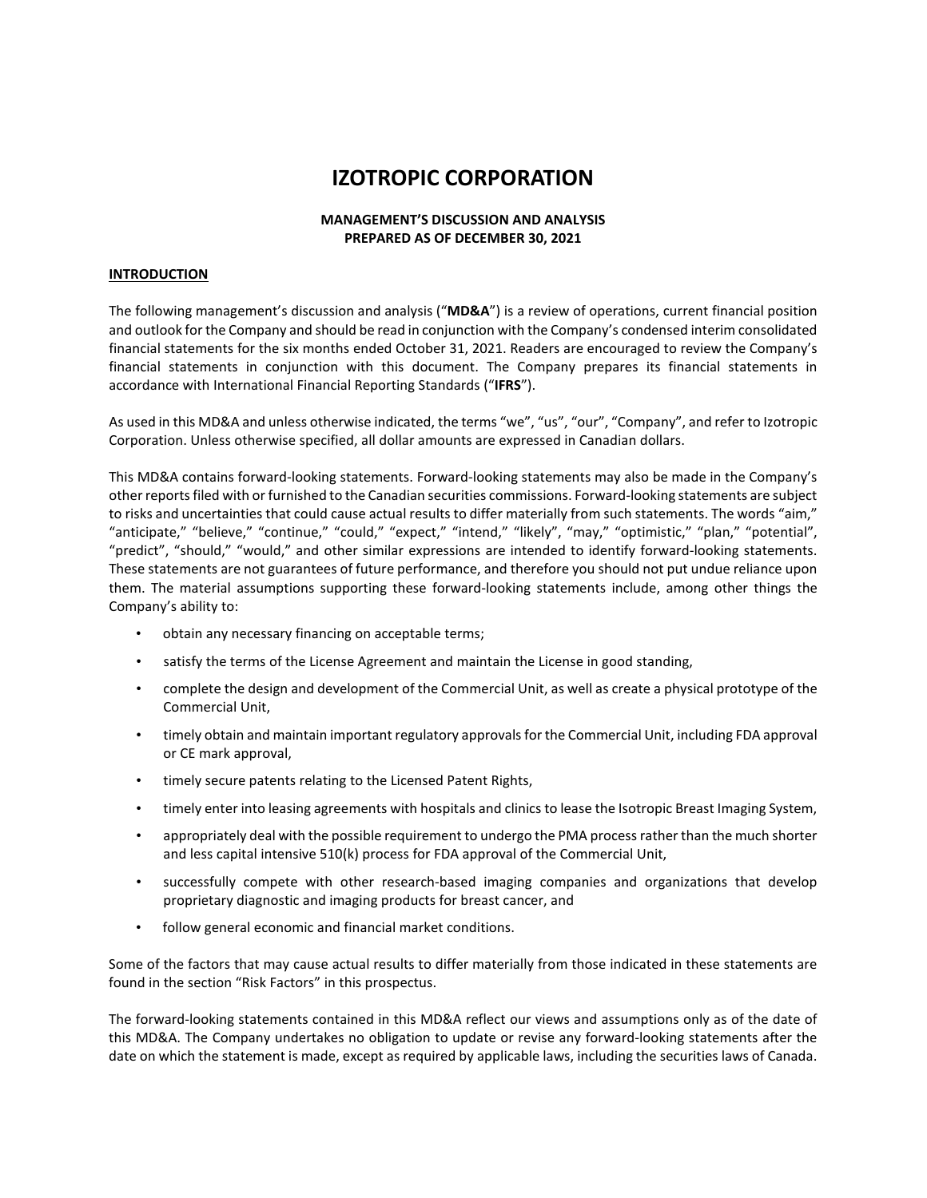# **IZOTROPIC CORPORATION**

# **MANAGEMENT'S DISCUSSION AND ANALYSIS PREPARED AS OF DECEMBER 30, 2021**

#### **INTRODUCTION**

The following management's discussion and analysis ("**MD&A**") is a review of operations, current financial position and outlook for the Company and should be read in conjunction with the Company's condensed interim consolidated financial statements for the six months ended October 31, 2021. Readers are encouraged to review the Company's financial statements in conjunction with this document. The Company prepares its financial statements in accordance with International Financial Reporting Standards ("**IFRS**").

As used in this MD&A and unless otherwise indicated, the terms "we", "us", "our", "Company", and refer to Izotropic Corporation. Unless otherwise specified, all dollar amounts are expressed in Canadian dollars.

This MD&A contains forward-looking statements. Forward-looking statements may also be made in the Company's other reports filed with or furnished to the Canadian securities commissions. Forward-looking statements are subject to risks and uncertainties that could cause actual results to differ materially from such statements. The words "aim," "anticipate," "believe," "continue," "could," "expect," "intend," "likely", "may," "optimistic," "plan," "potential", "predict", "should," "would," and other similar expressions are intended to identify forward-looking statements. These statements are not guarantees of future performance, and therefore you should not put undue reliance upon them. The material assumptions supporting these forward-looking statements include, among other things the Company's ability to:

- obtain any necessary financing on acceptable terms;
- satisfy the terms of the License Agreement and maintain the License in good standing,
- complete the design and development of the Commercial Unit, as well as create a physical prototype of the Commercial Unit,
- timely obtain and maintain important regulatory approvals for the Commercial Unit, including FDA approval or CE mark approval,
- timely secure patents relating to the Licensed Patent Rights,
- timely enter into leasing agreements with hospitals and clinics to lease the Isotropic Breast Imaging System,
- appropriately deal with the possible requirement to undergo the PMA process rather than the much shorter and less capital intensive 510(k) process for FDA approval of the Commercial Unit,
- successfully compete with other research-based imaging companies and organizations that develop proprietary diagnostic and imaging products for breast cancer, and
- follow general economic and financial market conditions.

Some of the factors that may cause actual results to differ materially from those indicated in these statements are found in the section "Risk Factors" in this prospectus.

The forward-looking statements contained in this MD&A reflect our views and assumptions only as of the date of this MD&A. The Company undertakes no obligation to update or revise any forward-looking statements after the date on which the statement is made, except as required by applicable laws, including the securities laws of Canada.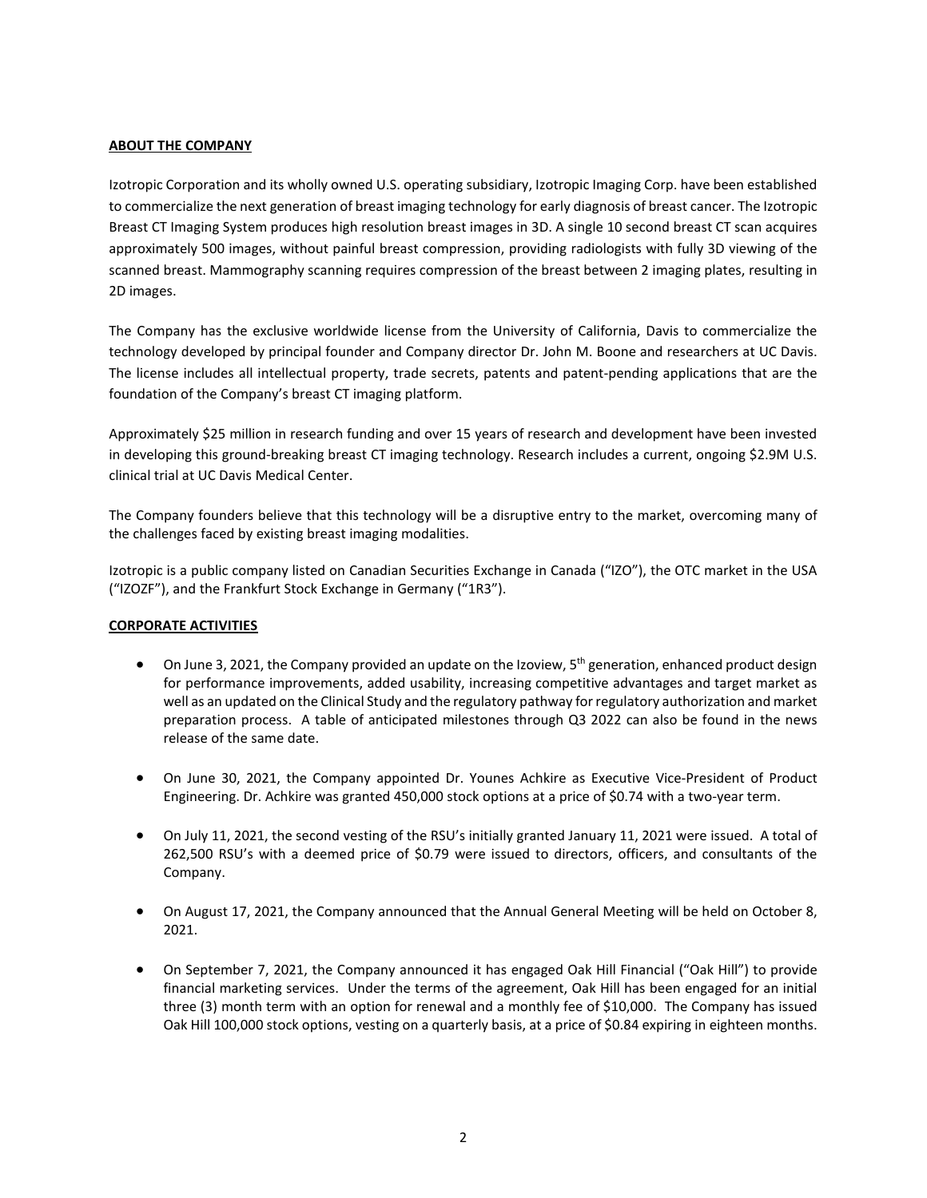# **ABOUT THE COMPANY**

Izotropic Corporation and its wholly owned U.S. operating subsidiary, Izotropic Imaging Corp. have been established to commercialize the next generation of breast imaging technology for early diagnosis of breast cancer. The Izotropic Breast CT Imaging System produces high resolution breast images in 3D. A single 10 second breast CT scan acquires approximately 500 images, without painful breast compression, providing radiologists with fully 3D viewing of the scanned breast. Mammography scanning requires compression of the breast between 2 imaging plates, resulting in 2D images.

The Company has the exclusive worldwide license from the University of California, Davis to commercialize the technology developed by principal founder and Company director Dr. John M. Boone and researchers at UC Davis. The license includes all intellectual property, trade secrets, patents and patent-pending applications that are the foundation of the Company's breast CT imaging platform.

Approximately \$25 million in research funding and over 15 years of research and development have been invested in developing this ground-breaking breast CT imaging technology. Research includes a current, ongoing \$2.9M U.S. clinical trial at UC Davis Medical Center.

The Company founders believe that this technology will be a disruptive entry to the market, overcoming many of the challenges faced by existing breast imaging modalities.

Izotropic is a public company listed on Canadian Securities Exchange in Canada ("IZO"), the OTC market in the USA ("IZOZF"), and the Frankfurt Stock Exchange in Germany ("1R3").

# **CORPORATE ACTIVITIES**

- On June 3, 2021, the Company provided an update on the Izoview, 5<sup>th</sup> generation, enhanced product design for performance improvements, added usability, increasing competitive advantages and target market as well as an updated on the Clinical Study and the regulatory pathway for regulatory authorization and market preparation process. A table of anticipated milestones through Q3 2022 can also be found in the news release of the same date.
- On June 30, 2021, the Company appointed Dr. Younes Achkire as Executive Vice-President of Product Engineering. Dr. Achkire was granted 450,000 stock options at a price of \$0.74 with a two-year term.
- On July 11, 2021, the second vesting of the RSU's initially granted January 11, 2021 were issued. A total of 262,500 RSU's with a deemed price of \$0.79 were issued to directors, officers, and consultants of the Company.
- On August 17, 2021, the Company announced that the Annual General Meeting will be held on October 8, 2021.
- On September 7, 2021, the Company announced it has engaged Oak Hill Financial ("Oak Hill") to provide financial marketing services. Under the terms of the agreement, Oak Hill has been engaged for an initial three (3) month term with an option for renewal and a monthly fee of \$10,000. The Company has issued Oak Hill 100,000 stock options, vesting on a quarterly basis, at a price of \$0.84 expiring in eighteen months.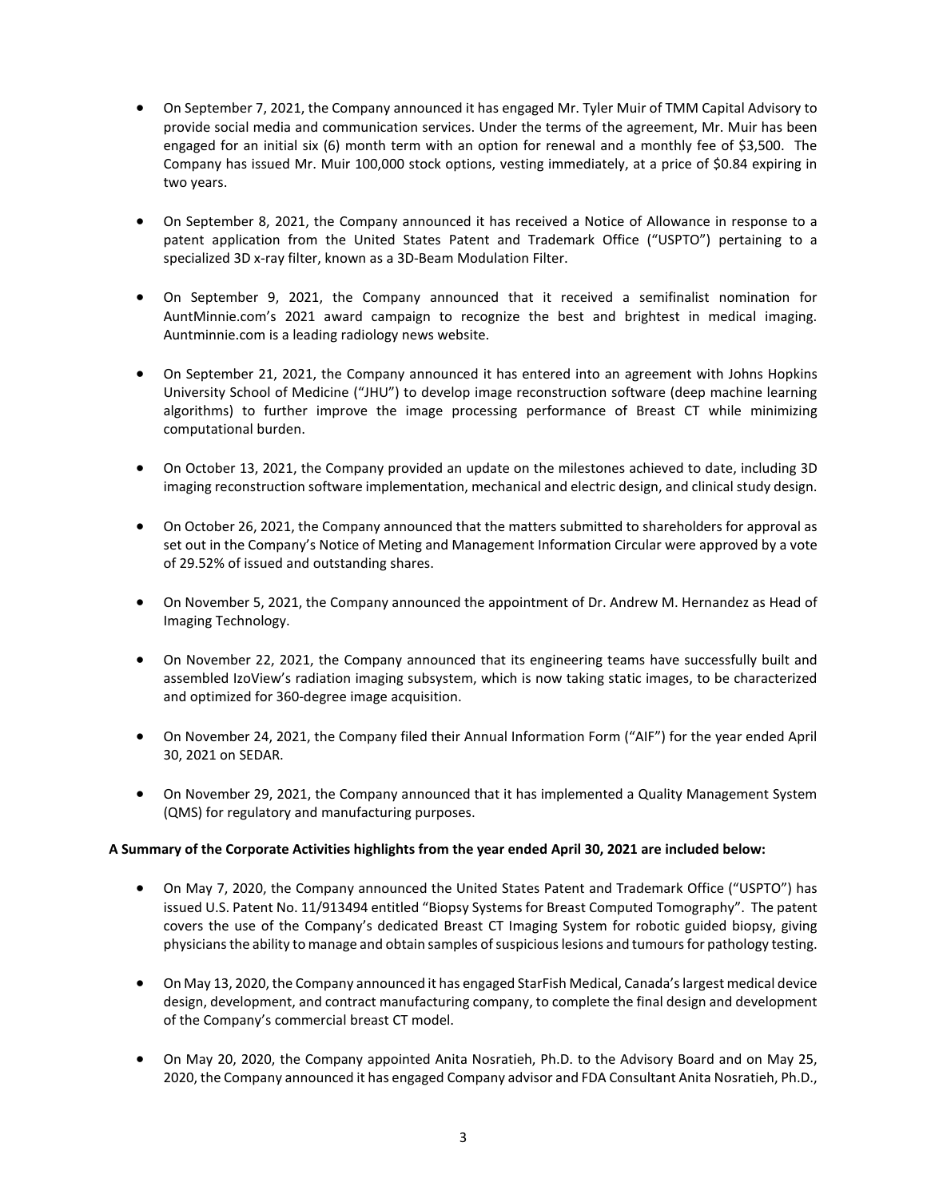- On September 7, 2021, the Company announced it has engaged Mr. Tyler Muir of TMM Capital Advisory to provide social media and communication services. Under the terms of the agreement, Mr. Muir has been engaged for an initial six (6) month term with an option for renewal and a monthly fee of \$3,500. The Company has issued Mr. Muir 100,000 stock options, vesting immediately, at a price of \$0.84 expiring in two years.
- On September 8, 2021, the Company announced it has received a Notice of Allowance in response to a patent application from the United States Patent and Trademark Office ("USPTO") pertaining to a specialized 3D x-ray filter, known as a 3D-Beam Modulation Filter.
- On September 9, 2021, the Company announced that it received a semifinalist nomination for AuntMinnie.com's 2021 award campaign to recognize the best and brightest in medical imaging. Auntminnie.com is a leading radiology news website.
- On September 21, 2021, the Company announced it has entered into an agreement with Johns Hopkins University School of Medicine ("JHU") to develop image reconstruction software (deep machine learning algorithms) to further improve the image processing performance of Breast CT while minimizing computational burden.
- On October 13, 2021, the Company provided an update on the milestones achieved to date, including 3D imaging reconstruction software implementation, mechanical and electric design, and clinical study design.
- On October 26, 2021, the Company announced that the matters submitted to shareholders for approval as set out in the Company's Notice of Meting and Management Information Circular were approved by a vote of 29.52% of issued and outstanding shares.
- On November 5, 2021, the Company announced the appointment of Dr. Andrew M. Hernandez as Head of Imaging Technology.
- On November 22, 2021, the Company announced that its engineering teams have successfully built and assembled IzoView's radiation imaging subsystem, which is now taking static images, to be characterized and optimized for 360-degree image acquisition.
- On November 24, 2021, the Company filed their Annual Information Form ("AIF") for the year ended April 30, 2021 on SEDAR.
- On November 29, 2021, the Company announced that it has implemented a Quality Management System (QMS) for regulatory and manufacturing purposes.

# **A Summary of the Corporate Activities highlights from the year ended April 30, 2021 are included below:**

- On May 7, 2020, the Company announced the United States Patent and Trademark Office ("USPTO") has issued U.S. Patent No. 11/913494 entitled "Biopsy Systems for Breast Computed Tomography". The patent covers the use of the Company's dedicated Breast CT Imaging System for robotic guided biopsy, giving physicians the ability to manage and obtain samples of suspicious lesions and tumours for pathology testing.
- On May 13, 2020, the Company announced it has engaged StarFish Medical, Canada's largest medical device design, development, and contract manufacturing company, to complete the final design and development of the Company's commercial breast CT model.
- On May 20, 2020, the Company appointed Anita Nosratieh, Ph.D. to the Advisory Board and on May 25, 2020, the Company announced it has engaged Company advisor and FDA Consultant Anita Nosratieh, Ph.D.,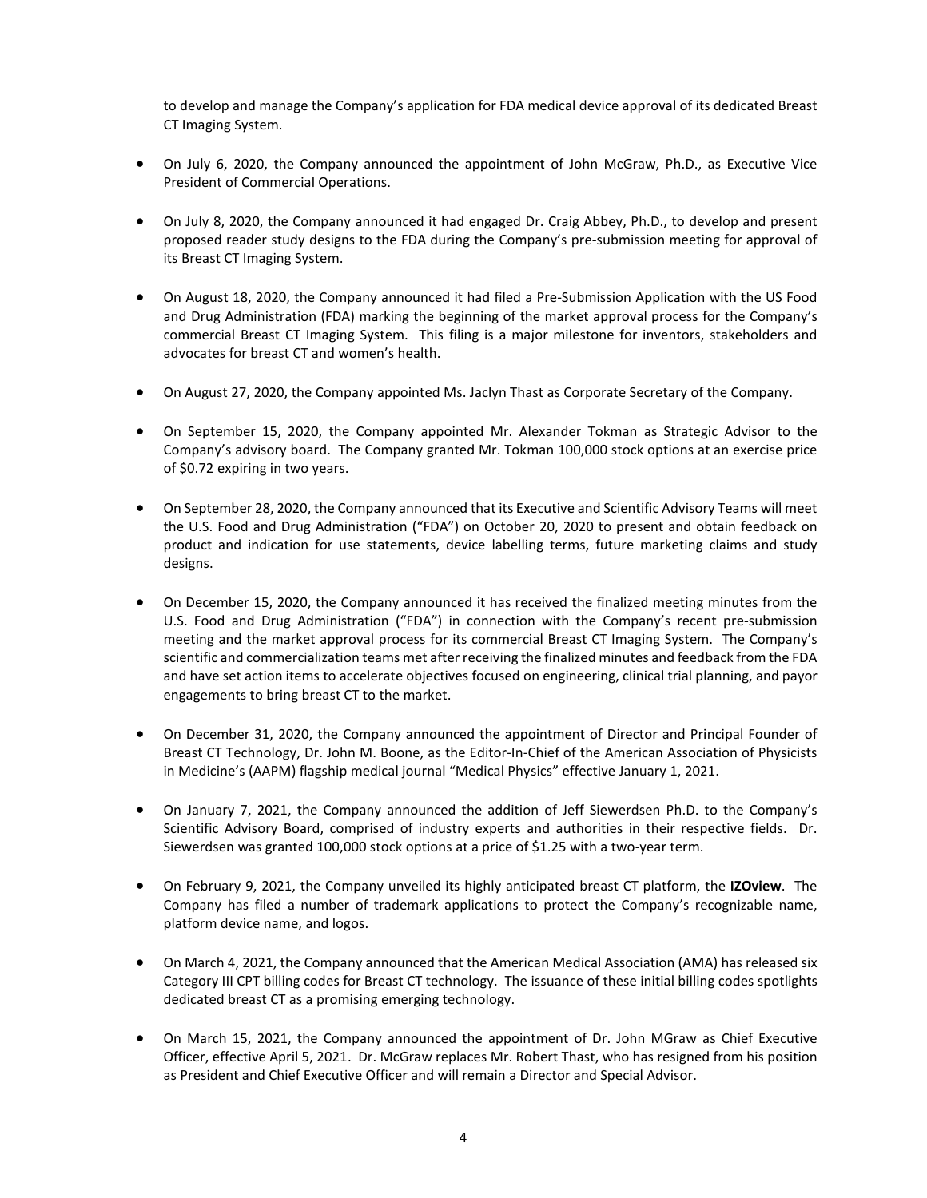to develop and manage the Company's application for FDA medical device approval of its dedicated Breast CT Imaging System.

- On July 6, 2020, the Company announced the appointment of John McGraw, Ph.D., as Executive Vice President of Commercial Operations.
- On July 8, 2020, the Company announced it had engaged Dr. Craig Abbey, Ph.D., to develop and present proposed reader study designs to the FDA during the Company's pre-submission meeting for approval of its Breast CT Imaging System.
- On August 18, 2020, the Company announced it had filed a Pre-Submission Application with the US Food and Drug Administration (FDA) marking the beginning of the market approval process for the Company's commercial Breast CT Imaging System. This filing is a major milestone for inventors, stakeholders and advocates for breast CT and women's health.
- On August 27, 2020, the Company appointed Ms. Jaclyn Thast as Corporate Secretary of the Company.
- On September 15, 2020, the Company appointed Mr. Alexander Tokman as Strategic Advisor to the Company's advisory board. The Company granted Mr. Tokman 100,000 stock options at an exercise price of \$0.72 expiring in two years.
- On September 28, 2020, the Company announced that its Executive and Scientific Advisory Teams will meet the U.S. Food and Drug Administration ("FDA") on October 20, 2020 to present and obtain feedback on product and indication for use statements, device labelling terms, future marketing claims and study designs.
- On December 15, 2020, the Company announced it has received the finalized meeting minutes from the U.S. Food and Drug Administration ("FDA") in connection with the Company's recent pre-submission meeting and the market approval process for its commercial Breast CT Imaging System. The Company's scientific and commercialization teams met after receiving the finalized minutes and feedback from the FDA and have set action items to accelerate objectives focused on engineering, clinical trial planning, and payor engagements to bring breast CT to the market.
- On December 31, 2020, the Company announced the appointment of Director and Principal Founder of Breast CT Technology, Dr. John M. Boone, as the Editor-In-Chief of the American Association of Physicists in Medicine's (AAPM) flagship medical journal "Medical Physics" effective January 1, 2021.
- On January 7, 2021, the Company announced the addition of Jeff Siewerdsen Ph.D. to the Company's Scientific Advisory Board, comprised of industry experts and authorities in their respective fields. Dr. Siewerdsen was granted 100,000 stock options at a price of \$1.25 with a two-year term.
- On February 9, 2021, the Company unveiled its highly anticipated breast CT platform, the **IZOview**. The Company has filed a number of trademark applications to protect the Company's recognizable name, platform device name, and logos.
- On March 4, 2021, the Company announced that the American Medical Association (AMA) has released six Category III CPT billing codes for Breast CT technology. The issuance of these initial billing codes spotlights dedicated breast CT as a promising emerging technology.
- On March 15, 2021, the Company announced the appointment of Dr. John MGraw as Chief Executive Officer, effective April 5, 2021. Dr. McGraw replaces Mr. Robert Thast, who has resigned from his position as President and Chief Executive Officer and will remain a Director and Special Advisor.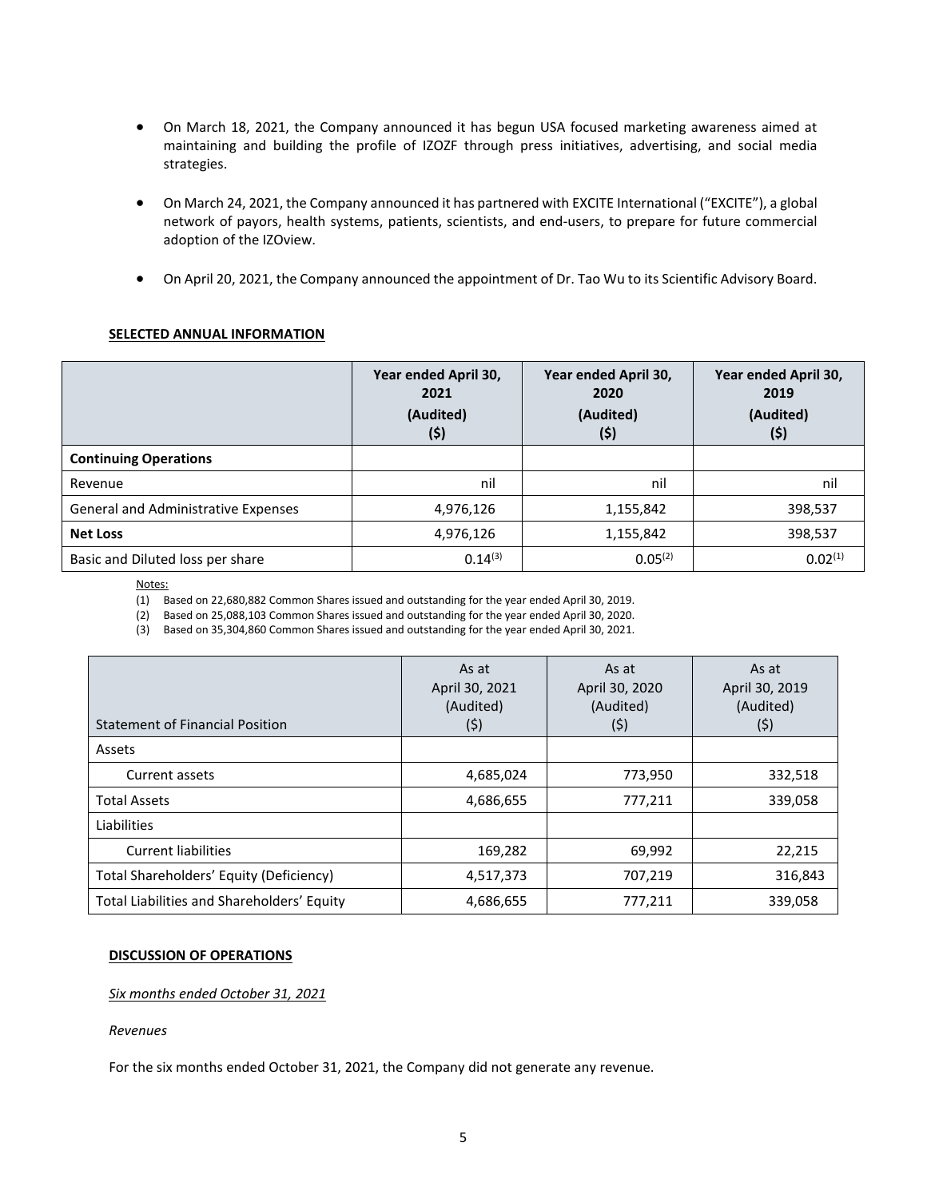- On March 18, 2021, the Company announced it has begun USA focused marketing awareness aimed at maintaining and building the profile of IZOZF through press initiatives, advertising, and social media strategies.
- On March 24, 2021, the Company announced it has partnered with EXCITE International ("EXCITE"), a global network of payors, health systems, patients, scientists, and end-users, to prepare for future commercial adoption of the IZOview.
- On April 20, 2021, the Company announced the appointment of Dr. Tao Wu to its Scientific Advisory Board.

# **SELECTED ANNUAL INFORMATION**

|                                     | Year ended April 30,<br>2021<br>(Audited)<br>(\$) | Year ended April 30,<br>2020<br>(Audited)<br>(5) | Year ended April 30,<br>2019<br>(Audited)<br>(\$) |
|-------------------------------------|---------------------------------------------------|--------------------------------------------------|---------------------------------------------------|
| <b>Continuing Operations</b>        |                                                   |                                                  |                                                   |
| Revenue                             | nil                                               | nil                                              | nil                                               |
| General and Administrative Expenses | 4,976,126                                         | 1,155,842                                        | 398,537                                           |
| <b>Net Loss</b>                     | 4,976,126                                         | 1,155,842                                        | 398,537                                           |
| Basic and Diluted loss per share    | 0.14(3)                                           | 0.05 <sup>(2)</sup>                              | 0.02 <sup>(1)</sup>                               |

Notes:

(1) Based on 22,680,882 Common Shares issued and outstanding for the year ended April 30, 2019.

(2) Based on 25,088,103 Common Shares issued and outstanding for the year ended April 30, 2020.

(3) Based on 35,304,860 Common Shares issued and outstanding for the year ended April 30, 2021.

| <b>Statement of Financial Position</b>     | As at<br>April 30, 2021<br>(Audited)<br>(\$) | As at<br>April 30, 2020<br>(Audited)<br>(\$) | As at<br>April 30, 2019<br>(Audited)<br>(\$) |
|--------------------------------------------|----------------------------------------------|----------------------------------------------|----------------------------------------------|
| Assets                                     |                                              |                                              |                                              |
| Current assets                             | 4,685,024                                    | 773,950                                      | 332,518                                      |
| <b>Total Assets</b>                        | 4,686,655                                    | 777,211                                      | 339,058                                      |
| Liabilities                                |                                              |                                              |                                              |
| <b>Current liabilities</b>                 | 169,282                                      | 69,992                                       | 22,215                                       |
| Total Shareholders' Equity (Deficiency)    | 4,517,373                                    | 707,219                                      | 316,843                                      |
| Total Liabilities and Shareholders' Equity | 4,686,655                                    | 777,211                                      | 339,058                                      |

### **DISCUSSION OF OPERATIONS**

### *Six months ended October 31, 2021*

### *Revenues*

For the six months ended October 31, 2021, the Company did not generate any revenue.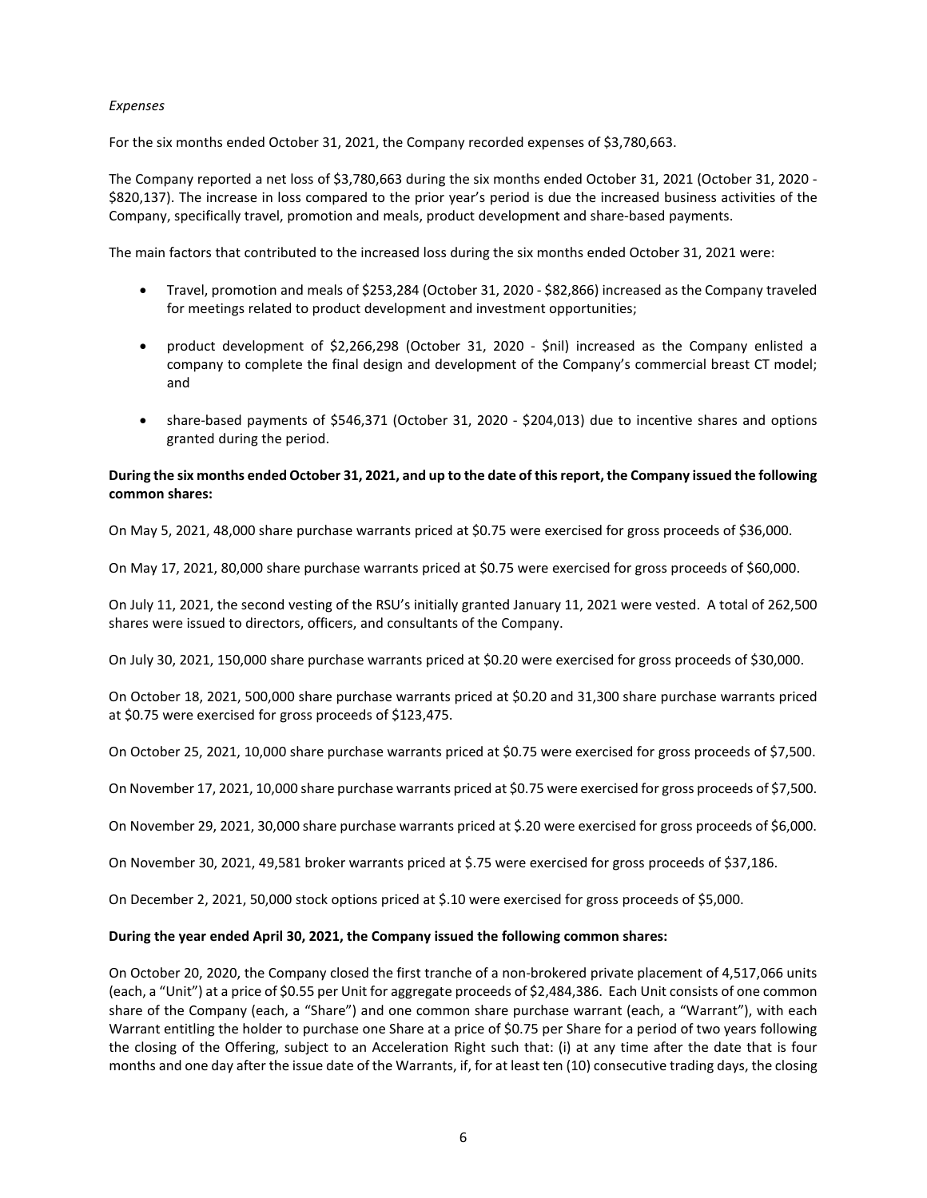### *Expenses*

For the six months ended October 31, 2021, the Company recorded expenses of \$3,780,663.

The Company reported a net loss of \$3,780,663 during the six months ended October 31, 2021 (October 31, 2020 - \$820,137). The increase in loss compared to the prior year's period is due the increased business activities of the Company, specifically travel, promotion and meals, product development and share-based payments.

The main factors that contributed to the increased loss during the six months ended October 31, 2021 were:

- Travel, promotion and meals of \$253,284 (October 31, 2020 \$82,866) increased as the Company traveled for meetings related to product development and investment opportunities;
- product development of \$2,266,298 (October 31, 2020 \$nil) increased as the Company enlisted a company to complete the final design and development of the Company's commercial breast CT model; and
- share-based payments of \$546,371 (October 31, 2020 \$204,013) due to incentive shares and options granted during the period.

# **During the six months ended October 31, 2021, and up to the date of this report, the Company issued the following common shares:**

On May 5, 2021, 48,000 share purchase warrants priced at \$0.75 were exercised for gross proceeds of \$36,000.

On May 17, 2021, 80,000 share purchase warrants priced at \$0.75 were exercised for gross proceeds of \$60,000.

On July 11, 2021, the second vesting of the RSU's initially granted January 11, 2021 were vested. A total of 262,500 shares were issued to directors, officers, and consultants of the Company.

On July 30, 2021, 150,000 share purchase warrants priced at \$0.20 were exercised for gross proceeds of \$30,000.

On October 18, 2021, 500,000 share purchase warrants priced at \$0.20 and 31,300 share purchase warrants priced at \$0.75 were exercised for gross proceeds of \$123,475.

On October 25, 2021, 10,000 share purchase warrants priced at \$0.75 were exercised for gross proceeds of \$7,500.

On November 17, 2021, 10,000 share purchase warrants priced at \$0.75 were exercised for gross proceeds of \$7,500.

On November 29, 2021, 30,000 share purchase warrants priced at \$.20 were exercised for gross proceeds of \$6,000.

On November 30, 2021, 49,581 broker warrants priced at \$.75 were exercised for gross proceeds of \$37,186.

On December 2, 2021, 50,000 stock options priced at \$.10 were exercised for gross proceeds of \$5,000.

# **During the year ended April 30, 2021, the Company issued the following common shares:**

On October 20, 2020, the Company closed the first tranche of a non-brokered private placement of 4,517,066 units (each, a "Unit") at a price of \$0.55 per Unit for aggregate proceeds of \$2,484,386. Each Unit consists of one common share of the Company (each, a "Share") and one common share purchase warrant (each, a "Warrant"), with each Warrant entitling the holder to purchase one Share at a price of \$0.75 per Share for a period of two years following the closing of the Offering, subject to an Acceleration Right such that: (i) at any time after the date that is four months and one day after the issue date of the Warrants, if, for at least ten (10) consecutive trading days, the closing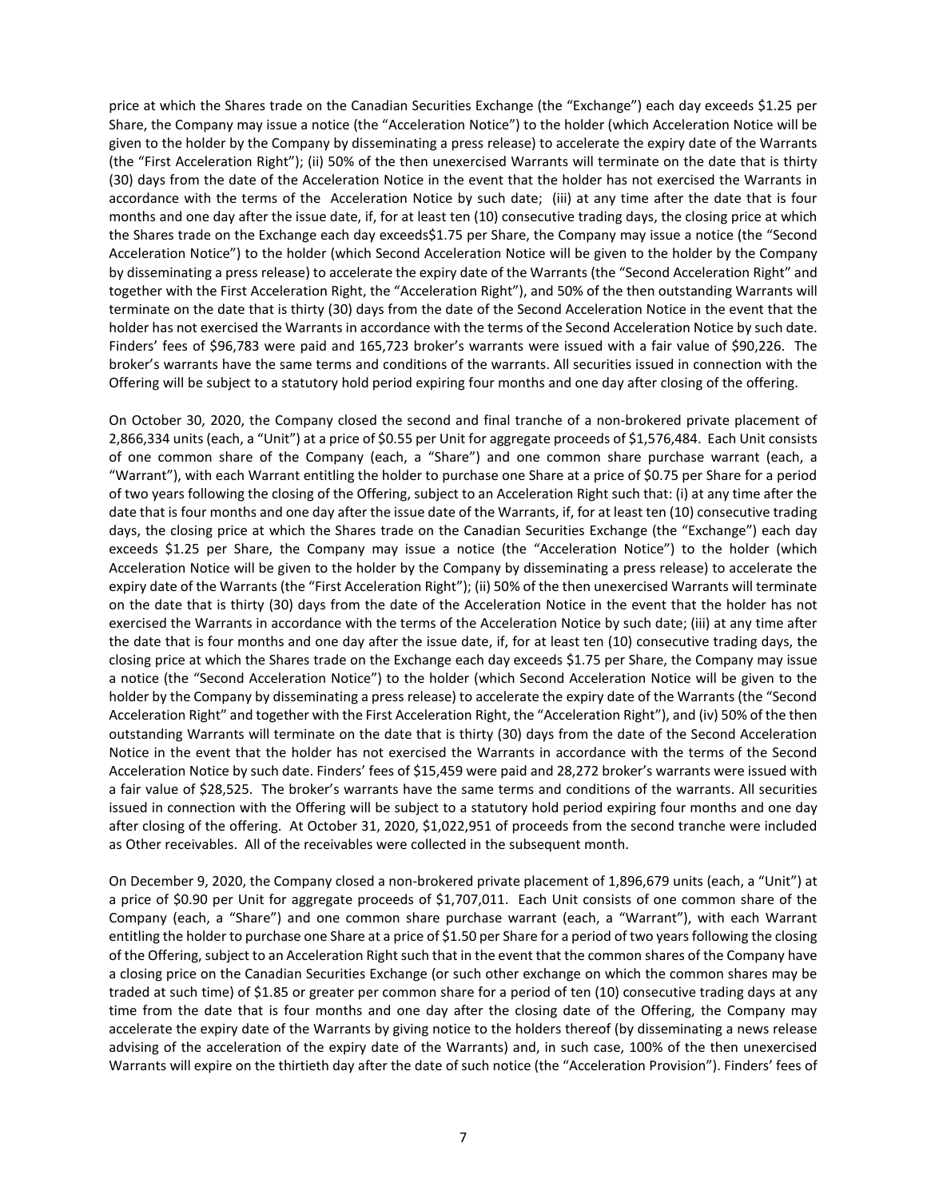price at which the Shares trade on the Canadian Securities Exchange (the "Exchange") each day exceeds \$1.25 per Share, the Company may issue a notice (the "Acceleration Notice") to the holder (which Acceleration Notice will be given to the holder by the Company by disseminating a press release) to accelerate the expiry date of the Warrants (the "First Acceleration Right"); (ii) 50% of the then unexercised Warrants will terminate on the date that is thirty (30) days from the date of the Acceleration Notice in the event that the holder has not exercised the Warrants in accordance with the terms of the Acceleration Notice by such date; (iii) at any time after the date that is four months and one day after the issue date, if, for at least ten (10) consecutive trading days, the closing price at which the Shares trade on the Exchange each day exceeds\$1.75 per Share, the Company may issue a notice (the "Second Acceleration Notice") to the holder (which Second Acceleration Notice will be given to the holder by the Company by disseminating a press release) to accelerate the expiry date of the Warrants (the "Second Acceleration Right" and together with the First Acceleration Right, the "Acceleration Right"), and 50% of the then outstanding Warrants will terminate on the date that is thirty (30) days from the date of the Second Acceleration Notice in the event that the holder has not exercised the Warrants in accordance with the terms of the Second Acceleration Notice by such date. Finders' fees of \$96,783 were paid and 165,723 broker's warrants were issued with a fair value of \$90,226. The broker's warrants have the same terms and conditions of the warrants. All securities issued in connection with the Offering will be subject to a statutory hold period expiring four months and one day after closing of the offering.

On October 30, 2020, the Company closed the second and final tranche of a non-brokered private placement of 2,866,334 units (each, a "Unit") at a price of \$0.55 per Unit for aggregate proceeds of \$1,576,484. Each Unit consists of one common share of the Company (each, a "Share") and one common share purchase warrant (each, a "Warrant"), with each Warrant entitling the holder to purchase one Share at a price of \$0.75 per Share for a period of two years following the closing of the Offering, subject to an Acceleration Right such that: (i) at any time after the date that is four months and one day after the issue date of the Warrants, if, for at least ten (10) consecutive trading days, the closing price at which the Shares trade on the Canadian Securities Exchange (the "Exchange") each day exceeds \$1.25 per Share, the Company may issue a notice (the "Acceleration Notice") to the holder (which Acceleration Notice will be given to the holder by the Company by disseminating a press release) to accelerate the expiry date of the Warrants (the "First Acceleration Right"); (ii) 50% of the then unexercised Warrants will terminate on the date that is thirty (30) days from the date of the Acceleration Notice in the event that the holder has not exercised the Warrants in accordance with the terms of the Acceleration Notice by such date; (iii) at any time after the date that is four months and one day after the issue date, if, for at least ten (10) consecutive trading days, the closing price at which the Shares trade on the Exchange each day exceeds \$1.75 per Share, the Company may issue a notice (the "Second Acceleration Notice") to the holder (which Second Acceleration Notice will be given to the holder by the Company by disseminating a press release) to accelerate the expiry date of the Warrants (the "Second Acceleration Right" and together with the First Acceleration Right, the "Acceleration Right"), and (iv) 50% of the then outstanding Warrants will terminate on the date that is thirty (30) days from the date of the Second Acceleration Notice in the event that the holder has not exercised the Warrants in accordance with the terms of the Second Acceleration Notice by such date. Finders' fees of \$15,459 were paid and 28,272 broker's warrants were issued with a fair value of \$28,525. The broker's warrants have the same terms and conditions of the warrants. All securities issued in connection with the Offering will be subject to a statutory hold period expiring four months and one day after closing of the offering. At October 31, 2020, \$1,022,951 of proceeds from the second tranche were included as Other receivables. All of the receivables were collected in the subsequent month.

On December 9, 2020, the Company closed a non-brokered private placement of 1,896,679 units (each, a "Unit") at a price of \$0.90 per Unit for aggregate proceeds of \$1,707,011. Each Unit consists of one common share of the Company (each, a "Share") and one common share purchase warrant (each, a "Warrant"), with each Warrant entitling the holder to purchase one Share at a price of \$1.50 per Share for a period of two years following the closing of the Offering, subject to an Acceleration Right such that in the event that the common shares of the Company have a closing price on the Canadian Securities Exchange (or such other exchange on which the common shares may be traded at such time) of \$1.85 or greater per common share for a period of ten (10) consecutive trading days at any time from the date that is four months and one day after the closing date of the Offering, the Company may accelerate the expiry date of the Warrants by giving notice to the holders thereof (by disseminating a news release advising of the acceleration of the expiry date of the Warrants) and, in such case, 100% of the then unexercised Warrants will expire on the thirtieth day after the date of such notice (the "Acceleration Provision"). Finders' fees of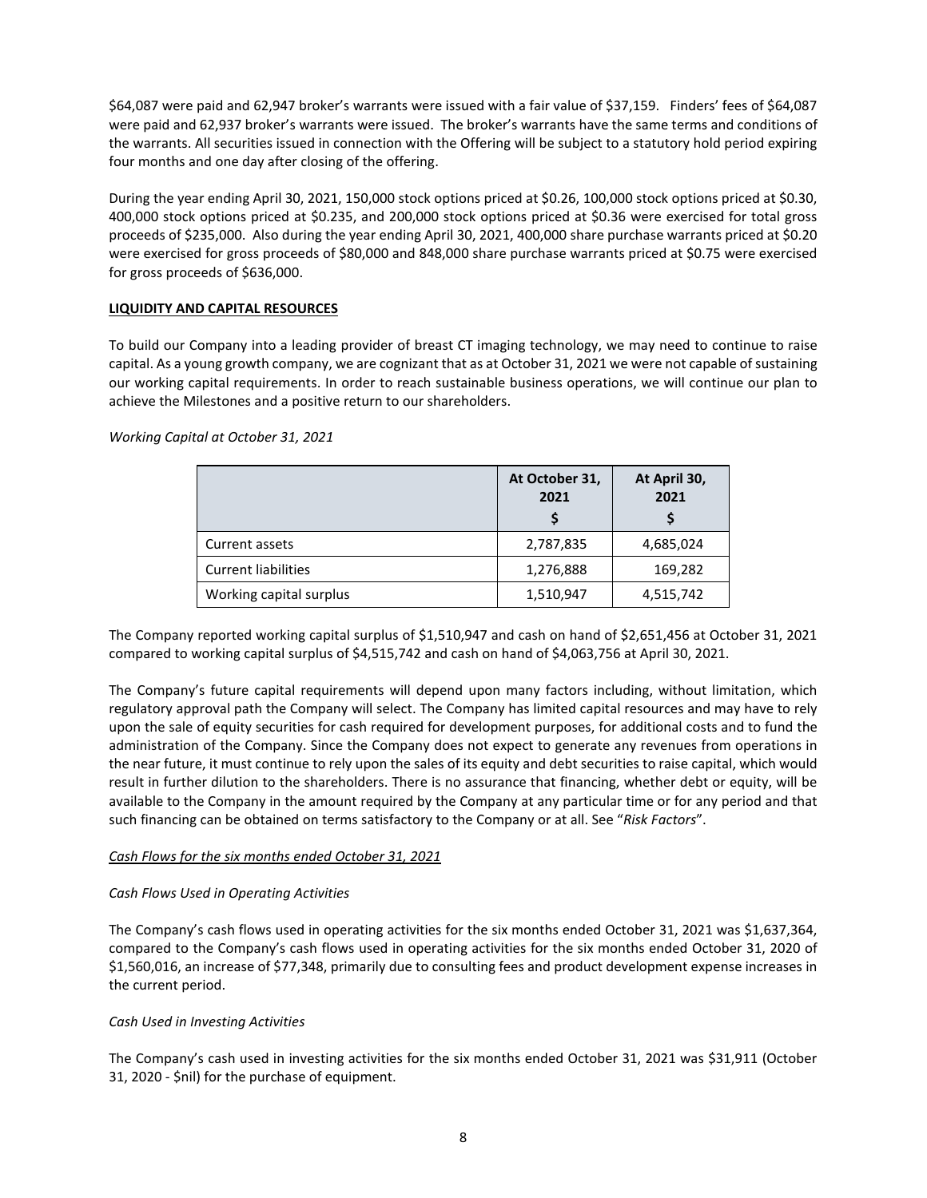\$64,087 were paid and 62,947 broker's warrants were issued with a fair value of \$37,159. Finders' fees of \$64,087 were paid and 62,937 broker's warrants were issued. The broker's warrants have the same terms and conditions of the warrants. All securities issued in connection with the Offering will be subject to a statutory hold period expiring four months and one day after closing of the offering.

During the year ending April 30, 2021, 150,000 stock options priced at \$0.26, 100,000 stock options priced at \$0.30, 400,000 stock options priced at \$0.235, and 200,000 stock options priced at \$0.36 were exercised for total gross proceeds of \$235,000. Also during the year ending April 30, 2021, 400,000 share purchase warrants priced at \$0.20 were exercised for gross proceeds of \$80,000 and 848,000 share purchase warrants priced at \$0.75 were exercised for gross proceeds of \$636,000.

# **LIQUIDITY AND CAPITAL RESOURCES**

To build our Company into a leading provider of breast CT imaging technology, we may need to continue to raise capital. As a young growth company, we are cognizant that as at October 31, 2021 we were not capable of sustaining our working capital requirements. In order to reach sustainable business operations, we will continue our plan to achieve the Milestones and a positive return to our shareholders.

*Working Capital at October 31, 2021*

|                            | At October 31,<br>2021 | At April 30,<br>2021 |
|----------------------------|------------------------|----------------------|
| Current assets             | 2,787,835              | 4,685,024            |
| <b>Current liabilities</b> | 1,276,888              | 169,282              |
| Working capital surplus    | 1,510,947              | 4,515,742            |

The Company reported working capital surplus of \$1,510,947 and cash on hand of \$2,651,456 at October 31, 2021 compared to working capital surplus of \$4,515,742 and cash on hand of \$4,063,756 at April 30, 2021.

The Company's future capital requirements will depend upon many factors including, without limitation, which regulatory approval path the Company will select. The Company has limited capital resources and may have to rely upon the sale of equity securities for cash required for development purposes, for additional costs and to fund the administration of the Company. Since the Company does not expect to generate any revenues from operations in the near future, it must continue to rely upon the sales of its equity and debt securities to raise capital, which would result in further dilution to the shareholders. There is no assurance that financing, whether debt or equity, will be available to the Company in the amount required by the Company at any particular time or for any period and that such financing can be obtained on terms satisfactory to the Company or at all. See "*Risk Factors*".

# *Cash Flows for the six months ended October 31, 2021*

# *Cash Flows Used in Operating Activities*

The Company's cash flows used in operating activities for the six months ended October 31, 2021 was \$1,637,364, compared to the Company's cash flows used in operating activities for the six months ended October 31, 2020 of \$1,560,016, an increase of \$77,348, primarily due to consulting fees and product development expense increases in the current period.

# *Cash Used in Investing Activities*

The Company's cash used in investing activities for the six months ended October 31, 2021 was \$31,911 (October 31, 2020 - \$nil) for the purchase of equipment.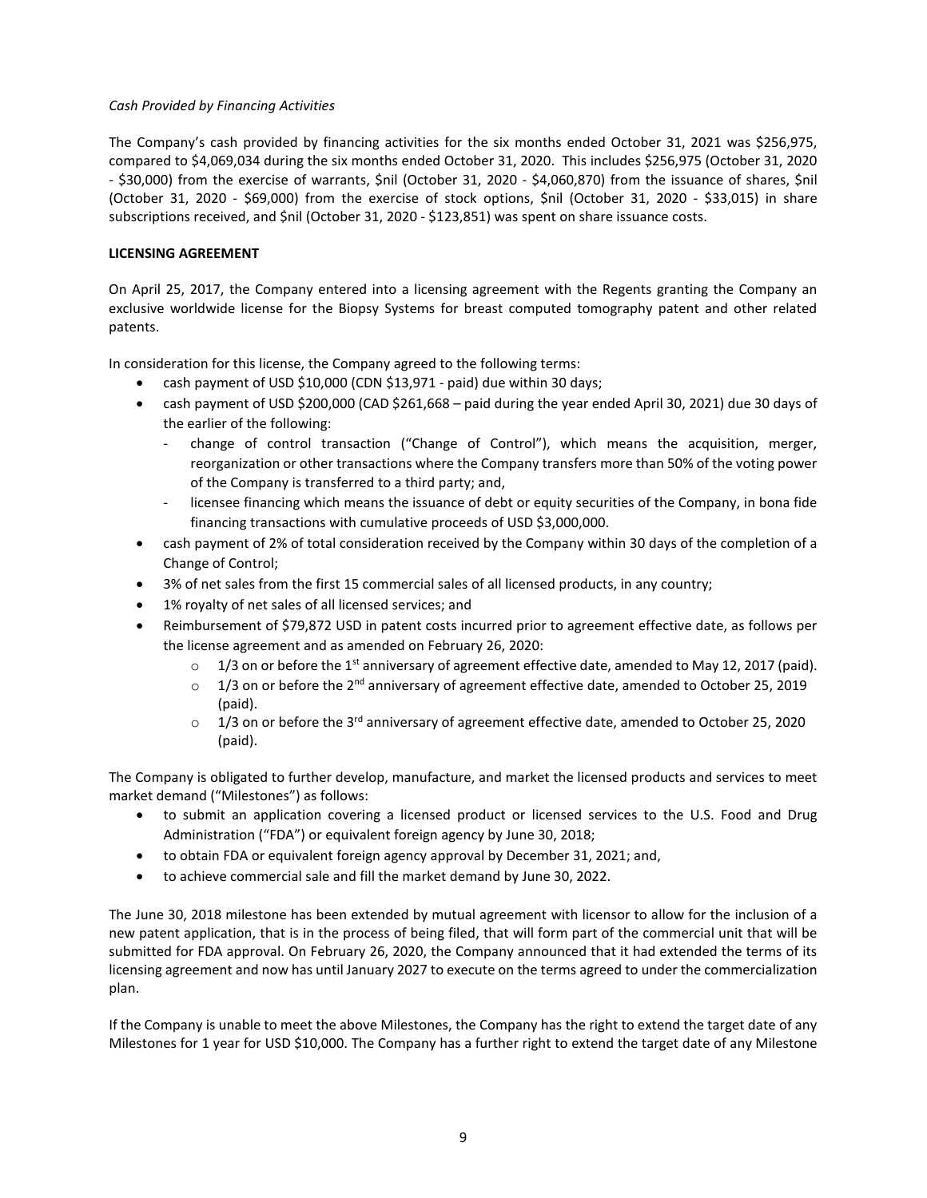# *Cash Provided by Financing Activities*

The Company's cash provided by financing activities for the six months ended October 31, 2021 was \$256,975, compared to \$4,069,034 during the six months ended October 31, 2020. This includes \$256,975 (October 31, 2020 - \$30,000) from the exercise of warrants, \$nil (October 31, 2020 - \$4,060,870) from the issuance of shares, \$nil (October 31, 2020 - \$69,000) from the exercise of stock options, \$nil (October 31, 2020 - \$33,015) in share subscriptions received, and \$nil (October 31, 2020 - \$123,851) was spent on share issuance costs.

# **LICENSING AGREEMENT**

On April 25, 2017, the Company entered into a licensing agreement with the Regents granting the Company an exclusive worldwide license for the Biopsy Systems for breast computed tomography patent and other related patents.

In consideration for this license, the Company agreed to the following terms:

- cash payment of USD \$10,000 (CDN \$13,971 paid) due within 30 days;
- cash payment of USD \$200,000 (CAD \$261,668 paid during the year ended April 30, 2021) due 30 days of the earlier of the following:
	- change of control transaction ("Change of Control"), which means the acquisition, merger, reorganization or other transactions where the Company transfers more than 50% of the voting power of the Company is transferred to a third party; and,
	- licensee financing which means the issuance of debt or equity securities of the Company, in bona fide financing transactions with cumulative proceeds of USD \$3,000,000.
- cash payment of 2% of total consideration received by the Company within 30 days of the completion of a Change of Control;
- 3% of net sales from the first 15 commercial sales of all licensed products, in any country;
- 1% royalty of net sales of all licensed services; and
- Reimbursement of \$79,872 USD in patent costs incurred prior to agreement effective date, as follows per the license agreement and as amended on February 26, 2020:
	- $\circ$  1/3 on or before the 1<sup>st</sup> anniversary of agreement effective date, amended to May 12, 2017 (paid).
	- $\circ$  1/3 on or before the 2<sup>nd</sup> anniversary of agreement effective date, amended to October 25, 2019 (paid).
	- $\circ$  1/3 on or before the 3<sup>rd</sup> anniversary of agreement effective date, amended to October 25, 2020 (paid).

The Company is obligated to further develop, manufacture, and market the licensed products and services to meet market demand ("Milestones") as follows:

- to submit an application covering a licensed product or licensed services to the U.S. Food and Drug Administration ("FDA") or equivalent foreign agency by June 30, 2018;
- to obtain FDA or equivalent foreign agency approval by December 31, 2021; and,
- to achieve commercial sale and fill the market demand by June 30, 2022.

The June 30, 2018 milestone has been extended by mutual agreement with licensor to allow for the inclusion of a new patent application, that is in the process of being filed, that will form part of the commercial unit that will be submitted for FDA approval. On February 26, 2020, the Company announced that it had extended the terms of its licensing agreement and now has until January 2027 to execute on the terms agreed to under the commercialization plan.

If the Company is unable to meet the above Milestones, the Company has the right to extend the target date of any Milestones for 1 year for USD \$10,000. The Company has a further right to extend the target date of any Milestone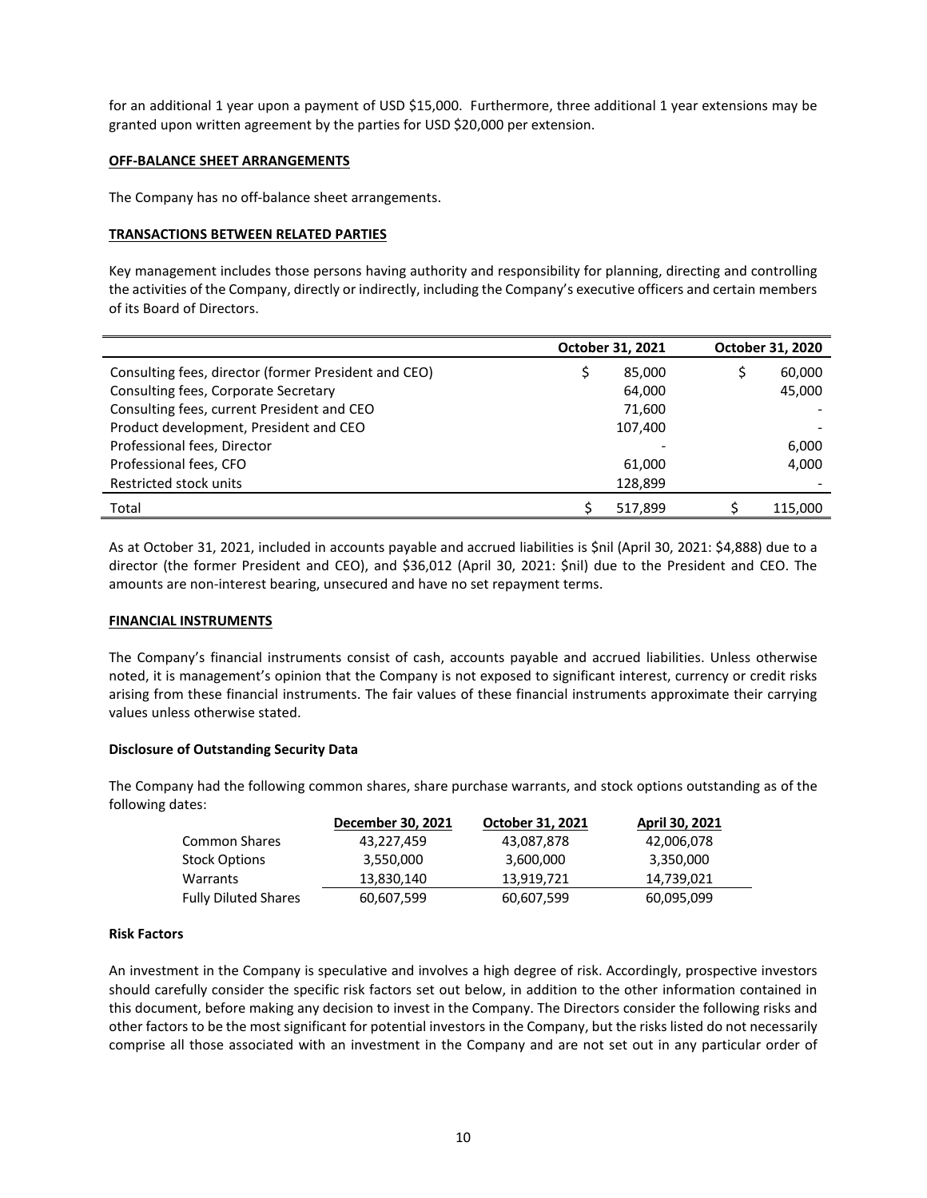for an additional 1 year upon a payment of USD \$15,000. Furthermore, three additional 1 year extensions may be granted upon written agreement by the parties for USD \$20,000 per extension.

### **OFF-BALANCE SHEET ARRANGEMENTS**

The Company has no off-balance sheet arrangements.

### **TRANSACTIONS BETWEEN RELATED PARTIES**

Key management includes those persons having authority and responsibility for planning, directing and controlling the activities of the Company, directly or indirectly, including the Company's executive officers and certain members of its Board of Directors.

|                                                      | October 31, 2021 | October 31, 2020 |
|------------------------------------------------------|------------------|------------------|
| Consulting fees, director (former President and CEO) | 85,000           | 60,000           |
| Consulting fees, Corporate Secretary                 | 64,000           | 45,000           |
| Consulting fees, current President and CEO           | 71,600           |                  |
| Product development, President and CEO               | 107,400          |                  |
| Professional fees, Director                          |                  | 6,000            |
| Professional fees, CFO                               | 61,000           | 4,000            |
| Restricted stock units                               | 128,899          |                  |
| Total                                                | 517,899          | 115,000          |

As at October 31, 2021, included in accounts payable and accrued liabilities is \$nil (April 30, 2021: \$4,888) due to a director (the former President and CEO), and \$36,012 (April 30, 2021: \$nil) due to the President and CEO. The amounts are non-interest bearing, unsecured and have no set repayment terms.

### **FINANCIAL INSTRUMENTS**

The Company's financial instruments consist of cash, accounts payable and accrued liabilities. Unless otherwise noted, it is management's opinion that the Company is not exposed to significant interest, currency or credit risks arising from these financial instruments. The fair values of these financial instruments approximate their carrying values unless otherwise stated.

# **Disclosure of Outstanding Security Data**

The Company had the following common shares, share purchase warrants, and stock options outstanding as of the following dates:

|                             | December 30, 2021 | October 31, 2021 | April 30, 2021 |
|-----------------------------|-------------------|------------------|----------------|
| <b>Common Shares</b>        | 43,227,459        | 43,087,878       | 42,006,078     |
| <b>Stock Options</b>        | 3,550,000         | 3,600,000        | 3,350,000      |
| Warrants                    | 13,830,140        | 13,919,721       | 14,739,021     |
| <b>Fully Diluted Shares</b> | 60,607,599        | 60,607,599       | 60,095,099     |

### **Risk Factors**

An investment in the Company is speculative and involves a high degree of risk. Accordingly, prospective investors should carefully consider the specific risk factors set out below, in addition to the other information contained in this document, before making any decision to invest in the Company. The Directors consider the following risks and other factors to be the most significant for potential investors in the Company, but the risks listed do not necessarily comprise all those associated with an investment in the Company and are not set out in any particular order of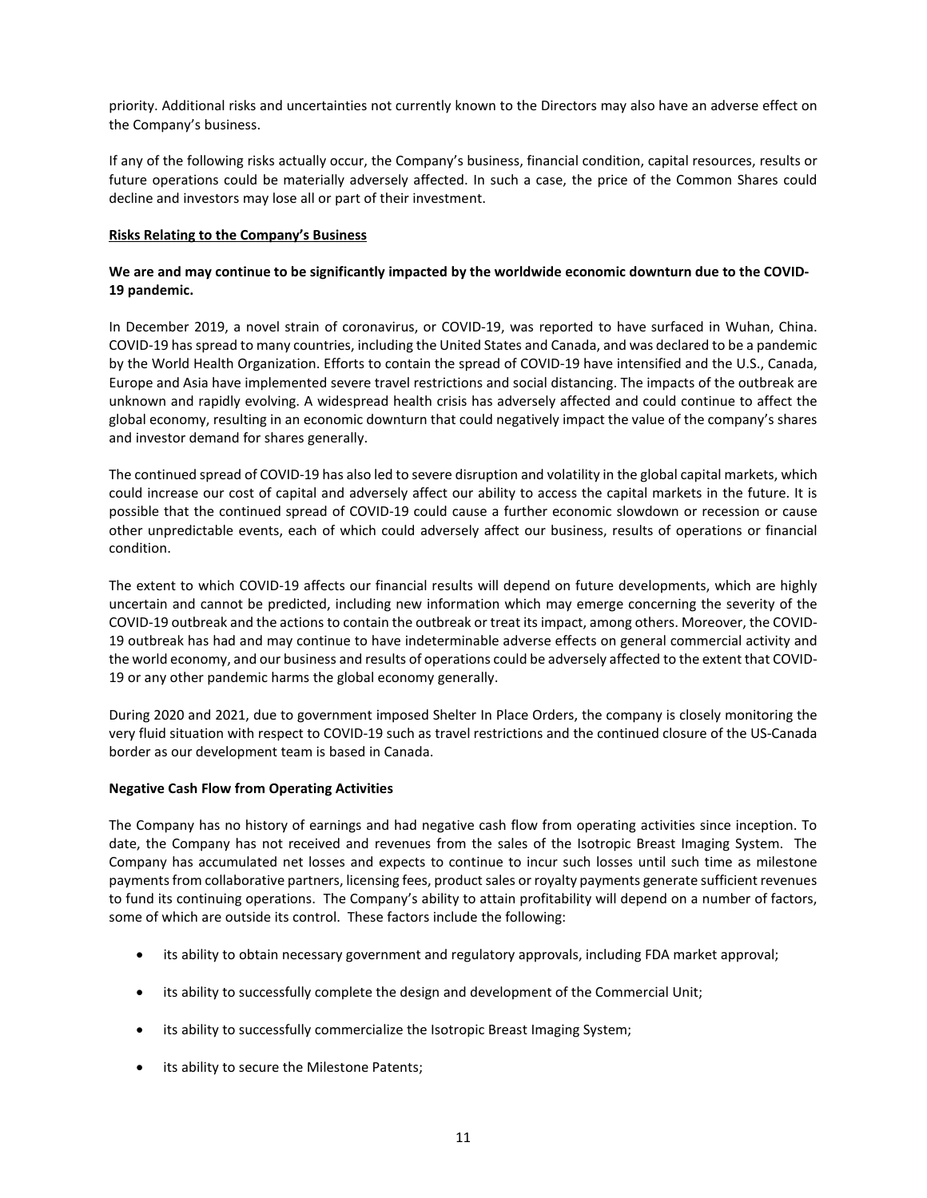priority. Additional risks and uncertainties not currently known to the Directors may also have an adverse effect on the Company's business.

If any of the following risks actually occur, the Company's business, financial condition, capital resources, results or future operations could be materially adversely affected. In such a case, the price of the Common Shares could decline and investors may lose all or part of their investment.

### **Risks Relating to the Company's Business**

# We are and may continue to be significantly impacted by the worldwide economic downturn due to the COVID-**19 pandemic.**

In December 2019, a novel strain of coronavirus, or COVID-19, was reported to have surfaced in Wuhan, China. COVID-19 has spread to many countries, including the United States and Canada, and was declared to be a pandemic by the World Health Organization. Efforts to contain the spread of COVID-19 have intensified and the U.S., Canada, Europe and Asia have implemented severe travel restrictions and social distancing. The impacts of the outbreak are unknown and rapidly evolving. A widespread health crisis has adversely affected and could continue to affect the global economy, resulting in an economic downturn that could negatively impact the value of the company's shares and investor demand for shares generally.

The continued spread of COVID-19 has also led to severe disruption and volatility in the global capital markets, which could increase our cost of capital and adversely affect our ability to access the capital markets in the future. It is possible that the continued spread of COVID-19 could cause a further economic slowdown or recession or cause other unpredictable events, each of which could adversely affect our business, results of operations or financial condition.

The extent to which COVID-19 affects our financial results will depend on future developments, which are highly uncertain and cannot be predicted, including new information which may emerge concerning the severity of the COVID-19 outbreak and the actions to contain the outbreak or treat its impact, among others. Moreover, the COVID-19 outbreak has had and may continue to have indeterminable adverse effects on general commercial activity and the world economy, and our business and results of operations could be adversely affected to the extent that COVID-19 or any other pandemic harms the global economy generally.

During 2020 and 2021, due to government imposed Shelter In Place Orders, the company is closely monitoring the very fluid situation with respect to COVID-19 such as travel restrictions and the continued closure of the US-Canada border as our development team is based in Canada.

### **Negative Cash Flow from Operating Activities**

The Company has no history of earnings and had negative cash flow from operating activities since inception. To date, the Company has not received and revenues from the sales of the Isotropic Breast Imaging System. The Company has accumulated net losses and expects to continue to incur such losses until such time as milestone payments from collaborative partners, licensing fees, product sales or royalty payments generate sufficient revenues to fund its continuing operations. The Company's ability to attain profitability will depend on a number of factors, some of which are outside its control. These factors include the following:

- its ability to obtain necessary government and regulatory approvals, including FDA market approval;
- its ability to successfully complete the design and development of the Commercial Unit;
- its ability to successfully commercialize the Isotropic Breast Imaging System;
- its ability to secure the Milestone Patents;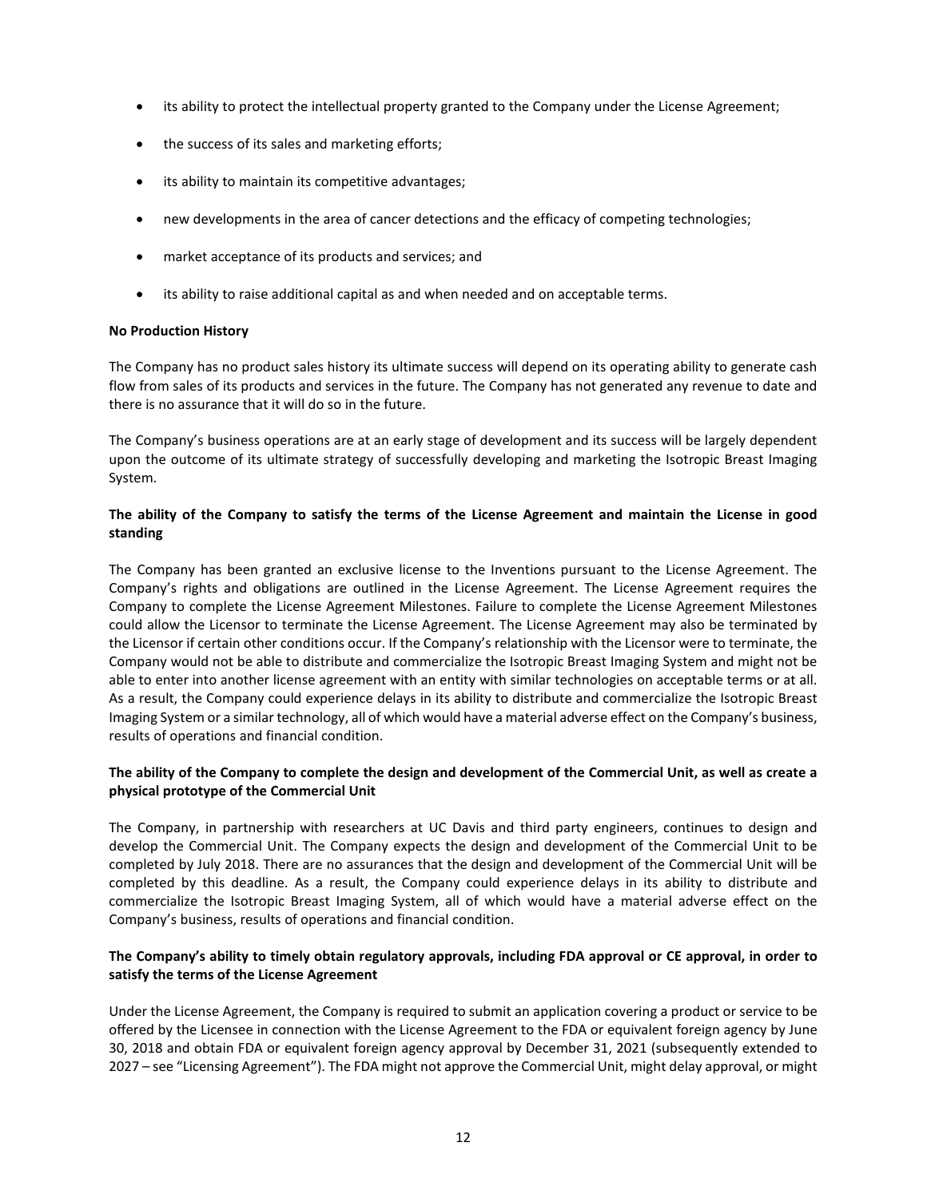- its ability to protect the intellectual property granted to the Company under the License Agreement;
- the success of its sales and marketing efforts;
- its ability to maintain its competitive advantages;
- new developments in the area of cancer detections and the efficacy of competing technologies;
- market acceptance of its products and services; and
- its ability to raise additional capital as and when needed and on acceptable terms.

### **No Production History**

The Company has no product sales history its ultimate success will depend on its operating ability to generate cash flow from sales of its products and services in the future. The Company has not generated any revenue to date and there is no assurance that it will do so in the future.

The Company's business operations are at an early stage of development and its success will be largely dependent upon the outcome of its ultimate strategy of successfully developing and marketing the Isotropic Breast Imaging System.

# **The ability of the Company to satisfy the terms of the License Agreement and maintain the License in good standing**

The Company has been granted an exclusive license to the Inventions pursuant to the License Agreement. The Company's rights and obligations are outlined in the License Agreement. The License Agreement requires the Company to complete the License Agreement Milestones. Failure to complete the License Agreement Milestones could allow the Licensor to terminate the License Agreement. The License Agreement may also be terminated by the Licensor if certain other conditions occur. If the Company's relationship with the Licensor were to terminate, the Company would not be able to distribute and commercialize the Isotropic Breast Imaging System and might not be able to enter into another license agreement with an entity with similar technologies on acceptable terms or at all. As a result, the Company could experience delays in its ability to distribute and commercialize the Isotropic Breast Imaging System or a similar technology, all of which would have a material adverse effect on the Company's business, results of operations and financial condition.

# **The ability of the Company to complete the design and development of the Commercial Unit, as well as create a physical prototype of the Commercial Unit**

The Company, in partnership with researchers at UC Davis and third party engineers, continues to design and develop the Commercial Unit. The Company expects the design and development of the Commercial Unit to be completed by July 2018. There are no assurances that the design and development of the Commercial Unit will be completed by this deadline. As a result, the Company could experience delays in its ability to distribute and commercialize the Isotropic Breast Imaging System, all of which would have a material adverse effect on the Company's business, results of operations and financial condition.

# **The Company's ability to timely obtain regulatory approvals, including FDA approval or CE approval, in order to satisfy the terms of the License Agreement**

Under the License Agreement, the Company is required to submit an application covering a product or service to be offered by the Licensee in connection with the License Agreement to the FDA or equivalent foreign agency by June 30, 2018 and obtain FDA or equivalent foreign agency approval by December 31, 2021 (subsequently extended to 2027 – see "Licensing Agreement"). The FDA might not approve the Commercial Unit, might delay approval, or might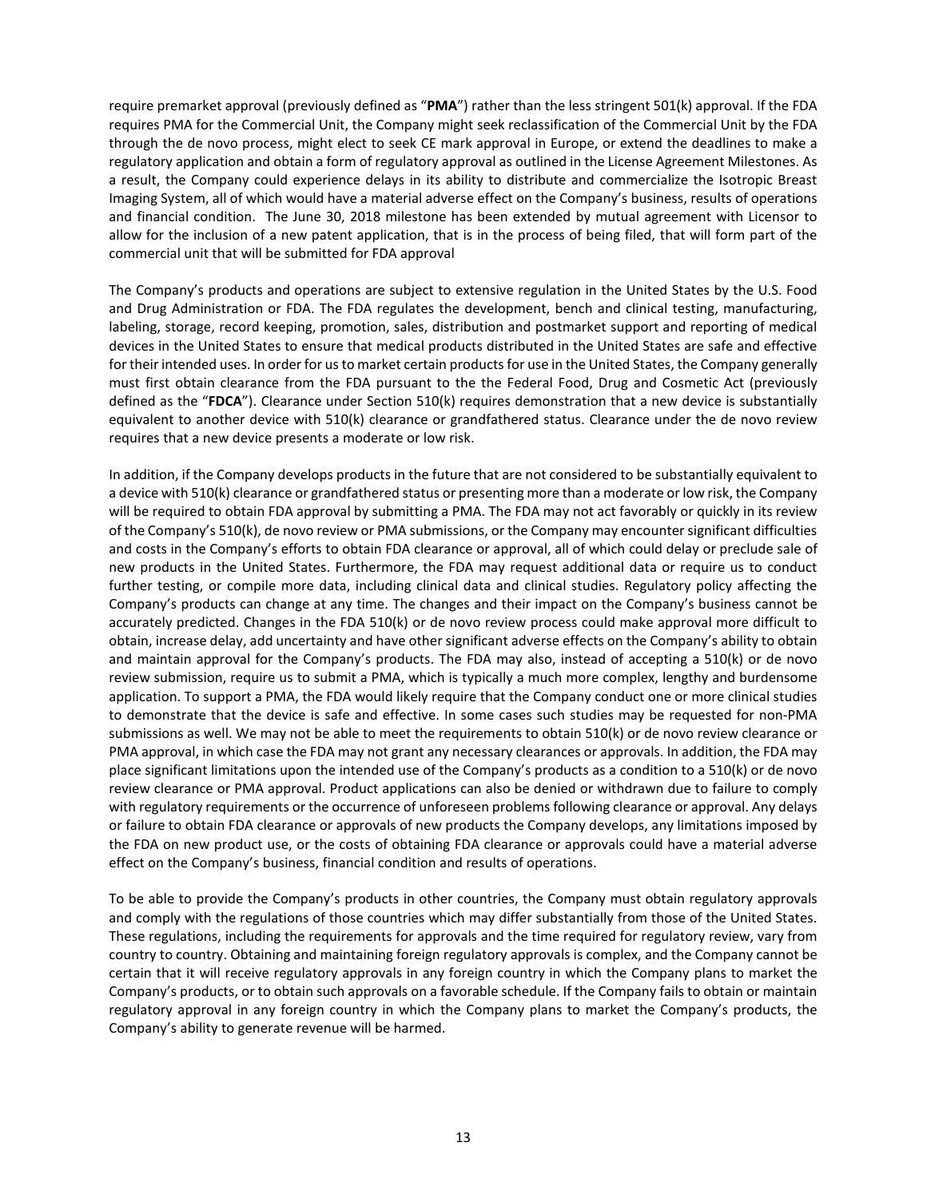require premarket approval (previously defined as "**PMA**") rather than the less stringent 501(k) approval. If the FDA requires PMA for the Commercial Unit, the Company might seek reclassification of the Commercial Unit by the FDA through the de novo process, might elect to seek CE mark approval in Europe, or extend the deadlines to make a regulatory application and obtain a form of regulatory approval as outlined in the License Agreement Milestones. As a result, the Company could experience delays in its ability to distribute and commercialize the Isotropic Breast Imaging System, all of which would have a material adverse effect on the Company's business, results of operations and financial condition. The June 30, 2018 milestone has been extended by mutual agreement with Licensor to allow for the inclusion of a new patent application, that is in the process of being filed, that will form part of the commercial unit that will be submitted for FDA approval

The Company's products and operations are subject to extensive regulation in the United States by the U.S. Food and Drug Administration or FDA. The FDA regulates the development, bench and clinical testing, manufacturing, labeling, storage, record keeping, promotion, sales, distribution and postmarket support and reporting of medical devices in the United States to ensure that medical products distributed in the United States are safe and effective for their intended uses. In order for us to market certain products for use in the United States, the Company generally must first obtain clearance from the FDA pursuant to the the Federal Food, Drug and Cosmetic Act (previously defined as the "**FDCA**"). Clearance under Section 510(k) requires demonstration that a new device is substantially equivalent to another device with 510(k) clearance or grandfathered status. Clearance under the de novo review requires that a new device presents a moderate or low risk.

In addition, if the Company develops products in the future that are not considered to be substantially equivalent to a device with 510(k) clearance or grandfathered status or presenting more than a moderate or low risk, the Company will be required to obtain FDA approval by submitting a PMA. The FDA may not act favorably or quickly in its review of the Company's 510(k), de novo review or PMA submissions, or the Company may encounter significant difficulties and costs in the Company's efforts to obtain FDA clearance or approval, all of which could delay or preclude sale of new products in the United States. Furthermore, the FDA may request additional data or require us to conduct further testing, or compile more data, including clinical data and clinical studies. Regulatory policy affecting the Company's products can change at any time. The changes and their impact on the Company's business cannot be accurately predicted. Changes in the FDA 510(k) or de novo review process could make approval more difficult to obtain, increase delay, add uncertainty and have other significant adverse effects on the Company's ability to obtain and maintain approval for the Company's products. The FDA may also, instead of accepting a 510(k) or de novo review submission, require us to submit a PMA, which is typically a much more complex, lengthy and burdensome application. To support a PMA, the FDA would likely require that the Company conduct one or more clinical studies to demonstrate that the device is safe and effective. In some cases such studies may be requested for non-PMA submissions as well. We may not be able to meet the requirements to obtain 510(k) or de novo review clearance or PMA approval, in which case the FDA may not grant any necessary clearances or approvals. In addition, the FDA may place significant limitations upon the intended use of the Company's products as a condition to a 510(k) or de novo review clearance or PMA approval. Product applications can also be denied or withdrawn due to failure to comply with regulatory requirements or the occurrence of unforeseen problems following clearance or approval. Any delays or failure to obtain FDA clearance or approvals of new products the Company develops, any limitations imposed by the FDA on new product use, or the costs of obtaining FDA clearance or approvals could have a material adverse effect on the Company's business, financial condition and results of operations.

To be able to provide the Company's products in other countries, the Company must obtain regulatory approvals and comply with the regulations of those countries which may differ substantially from those of the United States. These regulations, including the requirements for approvals and the time required for regulatory review, vary from country to country. Obtaining and maintaining foreign regulatory approvals is complex, and the Company cannot be certain that it will receive regulatory approvals in any foreign country in which the Company plans to market the Company's products, or to obtain such approvals on a favorable schedule. If the Company fails to obtain or maintain regulatory approval in any foreign country in which the Company plans to market the Company's products, the Company's ability to generate revenue will be harmed.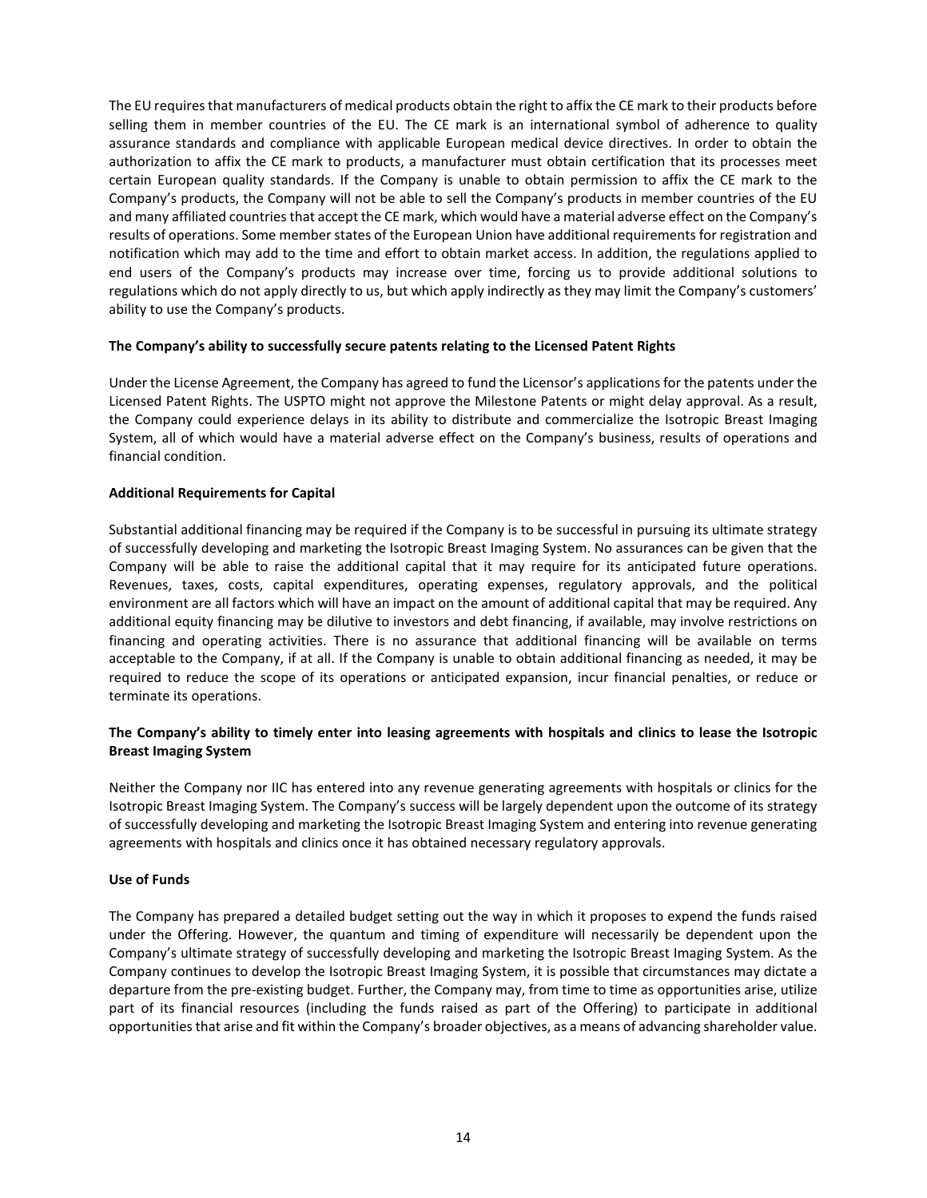The EU requires that manufacturers of medical products obtain the right to affix the CE mark to their products before selling them in member countries of the EU. The CE mark is an international symbol of adherence to quality assurance standards and compliance with applicable European medical device directives. In order to obtain the authorization to affix the CE mark to products, a manufacturer must obtain certification that its processes meet certain European quality standards. If the Company is unable to obtain permission to affix the CE mark to the Company's products, the Company will not be able to sell the Company's products in member countries of the EU and many affiliated countries that accept the CE mark, which would have a material adverse effect on the Company's results of operations. Some member states of the European Union have additional requirements for registration and notification which may add to the time and effort to obtain market access. In addition, the regulations applied to end users of the Company's products may increase over time, forcing us to provide additional solutions to regulations which do not apply directly to us, but which apply indirectly as they may limit the Company's customers' ability to use the Company's products.

# **The Company's ability to successfully secure patents relating to the Licensed Patent Rights**

Under the License Agreement, the Company has agreed to fund the Licensor's applications for the patents under the Licensed Patent Rights. The USPTO might not approve the Milestone Patents or might delay approval. As a result, the Company could experience delays in its ability to distribute and commercialize the Isotropic Breast Imaging System, all of which would have a material adverse effect on the Company's business, results of operations and financial condition.

### **Additional Requirements for Capital**

Substantial additional financing may be required if the Company is to be successful in pursuing its ultimate strategy of successfully developing and marketing the Isotropic Breast Imaging System. No assurances can be given that the Company will be able to raise the additional capital that it may require for its anticipated future operations. Revenues, taxes, costs, capital expenditures, operating expenses, regulatory approvals, and the political environment are all factors which will have an impact on the amount of additional capital that may be required. Any additional equity financing may be dilutive to investors and debt financing, if available, may involve restrictions on financing and operating activities. There is no assurance that additional financing will be available on terms acceptable to the Company, if at all. If the Company is unable to obtain additional financing as needed, it may be required to reduce the scope of its operations or anticipated expansion, incur financial penalties, or reduce or terminate its operations.

# **The Company's ability to timely enter into leasing agreements with hospitals and clinics to lease the Isotropic Breast Imaging System**

Neither the Company nor IIC has entered into any revenue generating agreements with hospitals or clinics for the Isotropic Breast Imaging System. The Company's success will be largely dependent upon the outcome of its strategy of successfully developing and marketing the Isotropic Breast Imaging System and entering into revenue generating agreements with hospitals and clinics once it has obtained necessary regulatory approvals.

### **Use of Funds**

The Company has prepared a detailed budget setting out the way in which it proposes to expend the funds raised under the Offering. However, the quantum and timing of expenditure will necessarily be dependent upon the Company's ultimate strategy of successfully developing and marketing the Isotropic Breast Imaging System. As the Company continues to develop the Isotropic Breast Imaging System, it is possible that circumstances may dictate a departure from the pre-existing budget. Further, the Company may, from time to time as opportunities arise, utilize part of its financial resources (including the funds raised as part of the Offering) to participate in additional opportunities that arise and fit within the Company's broader objectives, as a means of advancing shareholder value.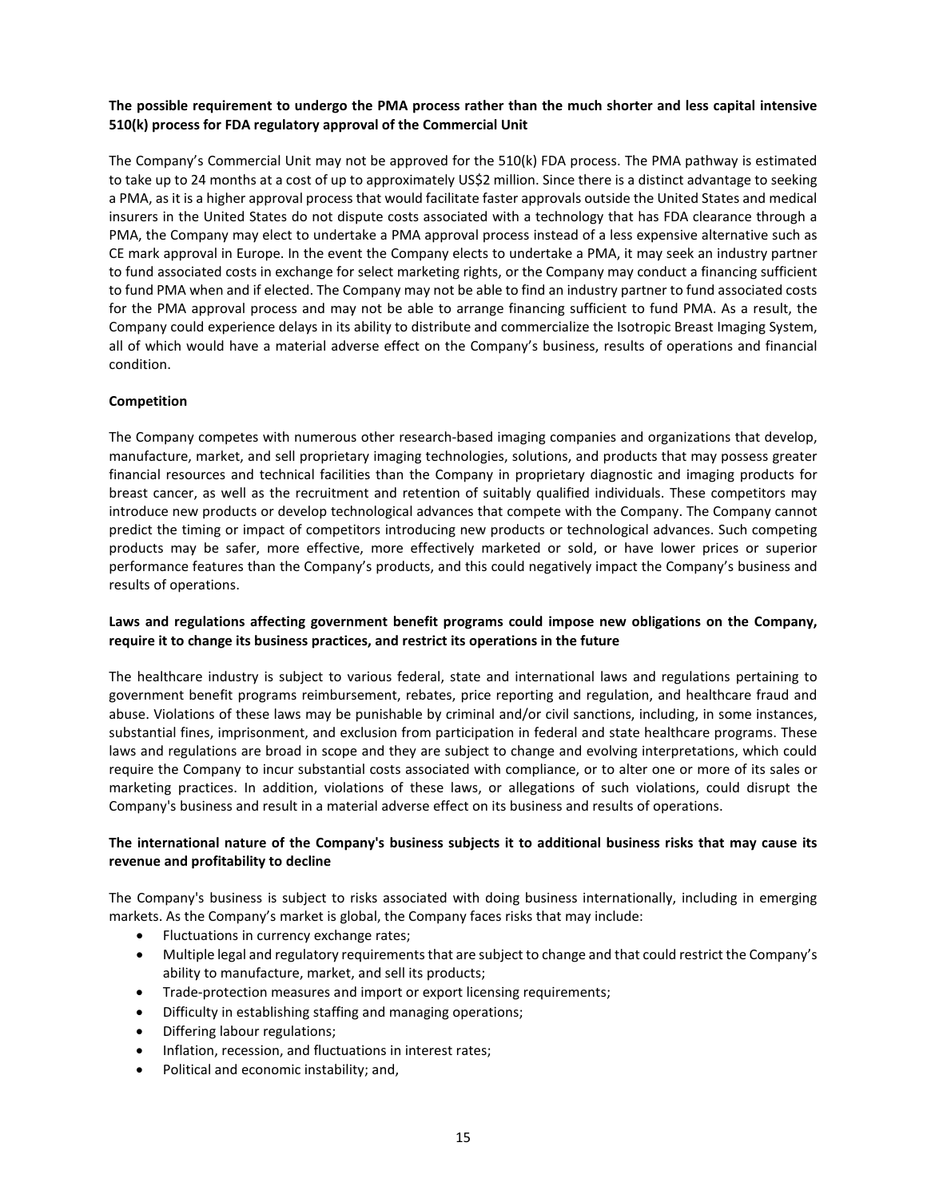# **The possible requirement to undergo the PMA process rather than the much shorter and less capital intensive 510(k) process for FDA regulatory approval of the Commercial Unit**

The Company's Commercial Unit may not be approved for the 510(k) FDA process. The PMA pathway is estimated to take up to 24 months at a cost of up to approximately US\$2 million. Since there is a distinct advantage to seeking a PMA, as it is a higher approval process that would facilitate faster approvals outside the United States and medical insurers in the United States do not dispute costs associated with a technology that has FDA clearance through a PMA, the Company may elect to undertake a PMA approval process instead of a less expensive alternative such as CE mark approval in Europe. In the event the Company elects to undertake a PMA, it may seek an industry partner to fund associated costs in exchange for select marketing rights, or the Company may conduct a financing sufficient to fund PMA when and if elected. The Company may not be able to find an industry partner to fund associated costs for the PMA approval process and may not be able to arrange financing sufficient to fund PMA. As a result, the Company could experience delays in its ability to distribute and commercialize the Isotropic Breast Imaging System, all of which would have a material adverse effect on the Company's business, results of operations and financial condition.

# **Competition**

The Company competes with numerous other research-based imaging companies and organizations that develop, manufacture, market, and sell proprietary imaging technologies, solutions, and products that may possess greater financial resources and technical facilities than the Company in proprietary diagnostic and imaging products for breast cancer, as well as the recruitment and retention of suitably qualified individuals. These competitors may introduce new products or develop technological advances that compete with the Company. The Company cannot predict the timing or impact of competitors introducing new products or technological advances. Such competing products may be safer, more effective, more effectively marketed or sold, or have lower prices or superior performance features than the Company's products, and this could negatively impact the Company's business and results of operations.

# **Laws and regulations affecting government benefit programs could impose new obligations on the Company, require it to change its business practices, and restrict its operations in the future**

The healthcare industry is subject to various federal, state and international laws and regulations pertaining to government benefit programs reimbursement, rebates, price reporting and regulation, and healthcare fraud and abuse. Violations of these laws may be punishable by criminal and/or civil sanctions, including, in some instances, substantial fines, imprisonment, and exclusion from participation in federal and state healthcare programs. These laws and regulations are broad in scope and they are subject to change and evolving interpretations, which could require the Company to incur substantial costs associated with compliance, or to alter one or more of its sales or marketing practices. In addition, violations of these laws, or allegations of such violations, could disrupt the Company's business and result in a material adverse effect on its business and results of operations.

# **The international nature of the Company's business subjects it to additional business risks that may cause its revenue and profitability to decline**

The Company's business is subject to risks associated with doing business internationally, including in emerging markets. As the Company's market is global, the Company faces risks that may include:

- Fluctuations in currency exchange rates;
- Multiple legal and regulatory requirements that are subject to change and that could restrict the Company's ability to manufacture, market, and sell its products;
- Trade-protection measures and import or export licensing requirements;
- Difficulty in establishing staffing and managing operations;
- Differing labour regulations;
- Inflation, recession, and fluctuations in interest rates;
- Political and economic instability; and,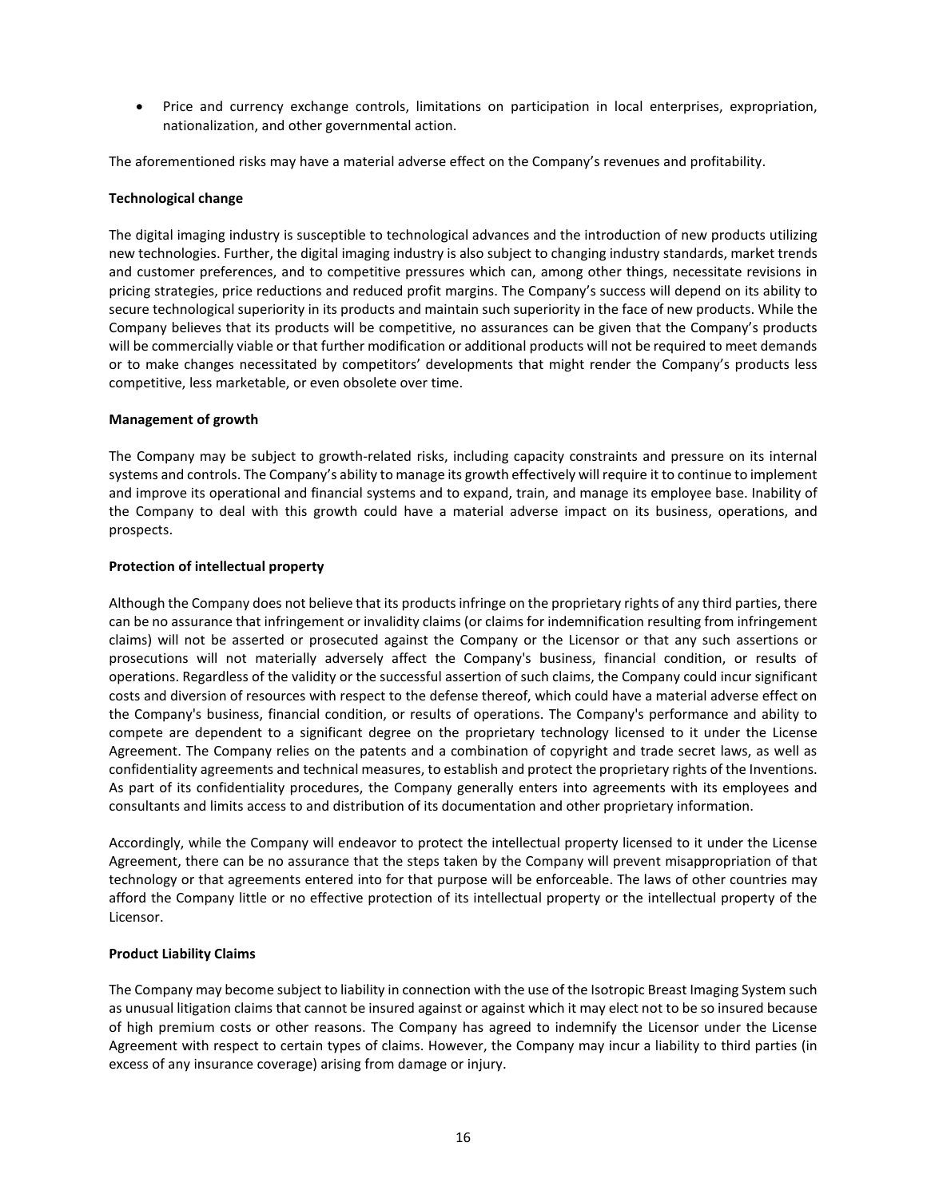• Price and currency exchange controls, limitations on participation in local enterprises, expropriation, nationalization, and other governmental action.

The aforementioned risks may have a material adverse effect on the Company's revenues and profitability.

### **Technological change**

The digital imaging industry is susceptible to technological advances and the introduction of new products utilizing new technologies. Further, the digital imaging industry is also subject to changing industry standards, market trends and customer preferences, and to competitive pressures which can, among other things, necessitate revisions in pricing strategies, price reductions and reduced profit margins. The Company's success will depend on its ability to secure technological superiority in its products and maintain such superiority in the face of new products. While the Company believes that its products will be competitive, no assurances can be given that the Company's products will be commercially viable or that further modification or additional products will not be required to meet demands or to make changes necessitated by competitors' developments that might render the Company's products less competitive, less marketable, or even obsolete over time.

### **Management of growth**

The Company may be subject to growth-related risks, including capacity constraints and pressure on its internal systems and controls. The Company's ability to manage its growth effectively will require it to continue to implement and improve its operational and financial systems and to expand, train, and manage its employee base. Inability of the Company to deal with this growth could have a material adverse impact on its business, operations, and prospects.

### **Protection of intellectual property**

Although the Company does not believe that its products infringe on the proprietary rights of any third parties, there can be no assurance that infringement or invalidity claims (or claims for indemnification resulting from infringement claims) will not be asserted or prosecuted against the Company or the Licensor or that any such assertions or prosecutions will not materially adversely affect the Company's business, financial condition, or results of operations. Regardless of the validity or the successful assertion of such claims, the Company could incur significant costs and diversion of resources with respect to the defense thereof, which could have a material adverse effect on the Company's business, financial condition, or results of operations. The Company's performance and ability to compete are dependent to a significant degree on the proprietary technology licensed to it under the License Agreement. The Company relies on the patents and a combination of copyright and trade secret laws, as well as confidentiality agreements and technical measures, to establish and protect the proprietary rights of the Inventions. As part of its confidentiality procedures, the Company generally enters into agreements with its employees and consultants and limits access to and distribution of its documentation and other proprietary information.

Accordingly, while the Company will endeavor to protect the intellectual property licensed to it under the License Agreement, there can be no assurance that the steps taken by the Company will prevent misappropriation of that technology or that agreements entered into for that purpose will be enforceable. The laws of other countries may afford the Company little or no effective protection of its intellectual property or the intellectual property of the Licensor.

# **Product Liability Claims**

The Company may become subject to liability in connection with the use of the Isotropic Breast Imaging System such as unusual litigation claims that cannot be insured against or against which it may elect not to be so insured because of high premium costs or other reasons. The Company has agreed to indemnify the Licensor under the License Agreement with respect to certain types of claims. However, the Company may incur a liability to third parties (in excess of any insurance coverage) arising from damage or injury.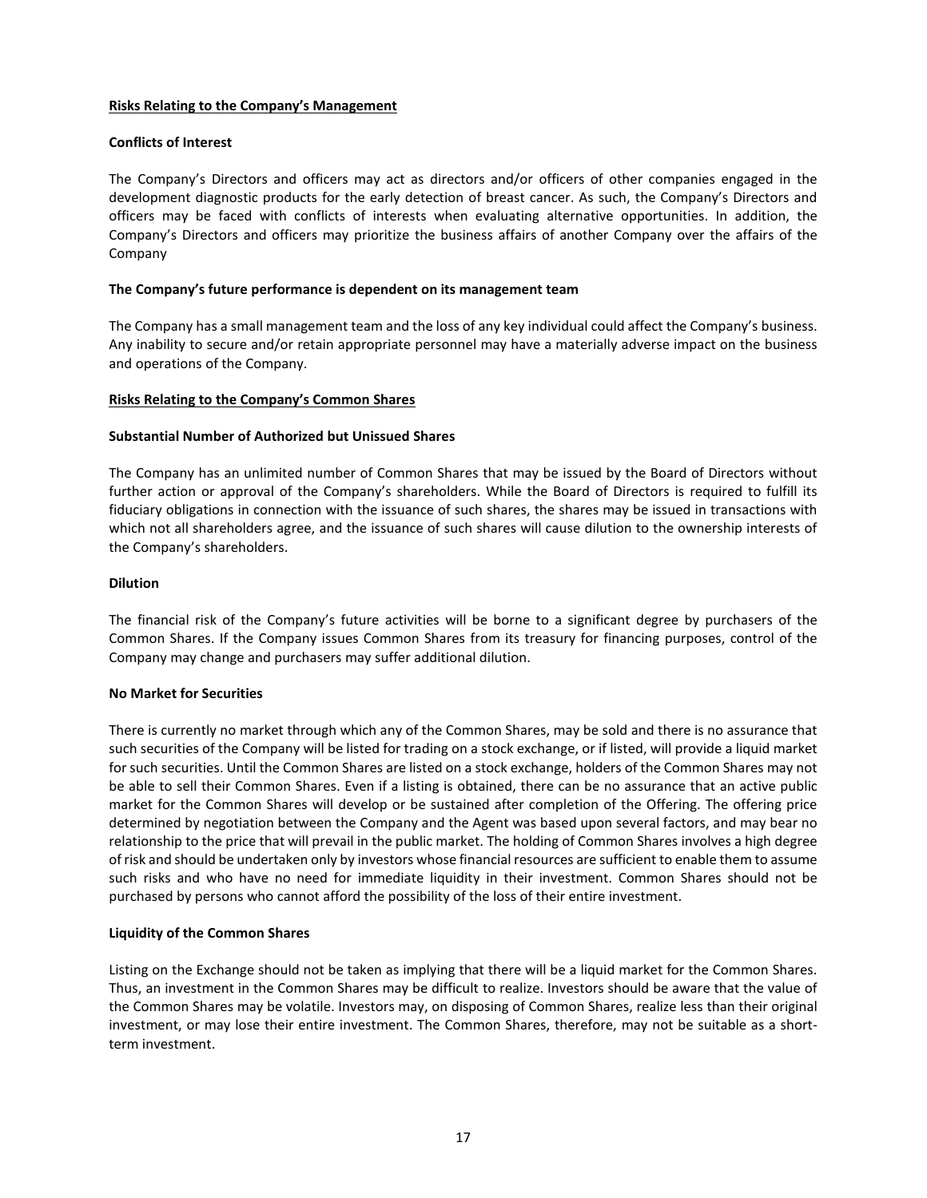### **Risks Relating to the Company's Management**

### **Conflicts of Interest**

The Company's Directors and officers may act as directors and/or officers of other companies engaged in the development diagnostic products for the early detection of breast cancer. As such, the Company's Directors and officers may be faced with conflicts of interests when evaluating alternative opportunities. In addition, the Company's Directors and officers may prioritize the business affairs of another Company over the affairs of the Company

### **The Company's future performance is dependent on its management team**

The Company has a small management team and the loss of any key individual could affect the Company's business. Any inability to secure and/or retain appropriate personnel may have a materially adverse impact on the business and operations of the Company.

### **Risks Relating to the Company's Common Shares**

### **Substantial Number of Authorized but Unissued Shares**

The Company has an unlimited number of Common Shares that may be issued by the Board of Directors without further action or approval of the Company's shareholders. While the Board of Directors is required to fulfill its fiduciary obligations in connection with the issuance of such shares, the shares may be issued in transactions with which not all shareholders agree, and the issuance of such shares will cause dilution to the ownership interests of the Company's shareholders.

# **Dilution**

The financial risk of the Company's future activities will be borne to a significant degree by purchasers of the Common Shares. If the Company issues Common Shares from its treasury for financing purposes, control of the Company may change and purchasers may suffer additional dilution.

### **No Market for Securities**

There is currently no market through which any of the Common Shares, may be sold and there is no assurance that such securities of the Company will be listed for trading on a stock exchange, or if listed, will provide a liquid market for such securities. Until the Common Shares are listed on a stock exchange, holders of the Common Shares may not be able to sell their Common Shares. Even if a listing is obtained, there can be no assurance that an active public market for the Common Shares will develop or be sustained after completion of the Offering. The offering price determined by negotiation between the Company and the Agent was based upon several factors, and may bear no relationship to the price that will prevail in the public market. The holding of Common Shares involves a high degree of risk and should be undertaken only by investors whose financial resources are sufficient to enable them to assume such risks and who have no need for immediate liquidity in their investment. Common Shares should not be purchased by persons who cannot afford the possibility of the loss of their entire investment.

### **Liquidity of the Common Shares**

Listing on the Exchange should not be taken as implying that there will be a liquid market for the Common Shares. Thus, an investment in the Common Shares may be difficult to realize. Investors should be aware that the value of the Common Shares may be volatile. Investors may, on disposing of Common Shares, realize less than their original investment, or may lose their entire investment. The Common Shares, therefore, may not be suitable as a shortterm investment.